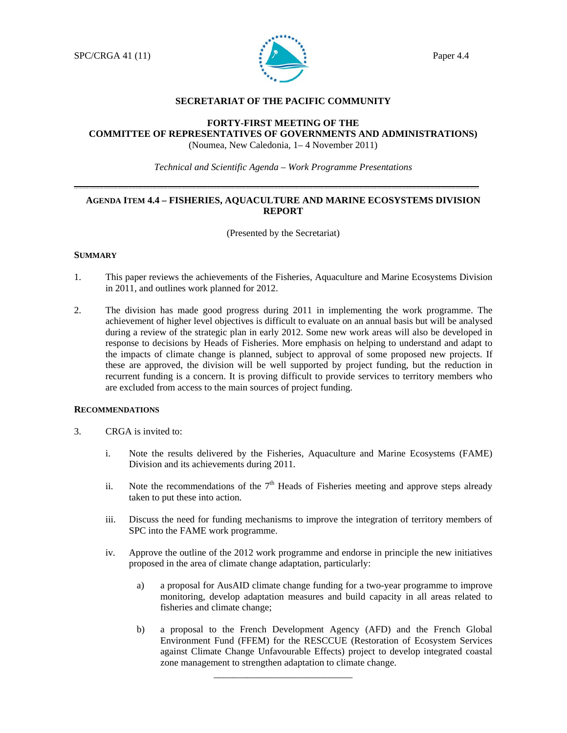

### **SECRETARIAT OF THE PACIFIC COMMUNITY**

## **FORTY-FIRST MEETING OF THE COMMITTEE OF REPRESENTATIVES OF GOVERNMENTS AND ADMINISTRATIONS)**  (Noumea, New Caledonia, 1– 4 November 2011)

*Technical and Scientific Agenda – Work Programme Presentations* 

# **AGENDA ITEM 4.4 – FISHERIES, AQUACULTURE AND MARINE ECOSYSTEMS DIVISION REPORT**

(Presented by the Secretariat)

## **SUMMARY**

- 1. This paper reviews the achievements of the Fisheries, Aquaculture and Marine Ecosystems Division in 2011, and outlines work planned for 2012.
- 2. The division has made good progress during 2011 in implementing the work programme. The achievement of higher level objectives is difficult to evaluate on an annual basis but will be analysed during a review of the strategic plan in early 2012. Some new work areas will also be developed in response to decisions by Heads of Fisheries. More emphasis on helping to understand and adapt to the impacts of climate change is planned, subject to approval of some proposed new projects. If these are approved, the division will be well supported by project funding, but the reduction in recurrent funding is a concern. It is proving difficult to provide services to territory members who are excluded from access to the main sources of project funding.

### **RECOMMENDATIONS**

- 3. CRGA is invited to:
	- i. Note the results delivered by the Fisheries, Aquaculture and Marine Ecosystems (FAME) Division and its achievements during 2011.
	- ii. Note the recommendations of the  $7<sup>th</sup>$  Heads of Fisheries meeting and approve steps already taken to put these into action.
	- iii. Discuss the need for funding mechanisms to improve the integration of territory members of SPC into the FAME work programme.
	- iv. Approve the outline of the 2012 work programme and endorse in principle the new initiatives proposed in the area of climate change adaptation, particularly:
		- a) a proposal for AusAID climate change funding for a two-year programme to improve monitoring, develop adaptation measures and build capacity in all areas related to fisheries and climate change;
		- b) a proposal to the French Development Agency (AFD) and the French Global Environment Fund (FFEM) for the RESCCUE (Restoration of Ecosystem Services against Climate Change Unfavourable Effects) project to develop integrated coastal zone management to strengthen adaptation to climate change.

\_\_\_\_\_\_\_\_\_\_\_\_\_\_\_\_\_\_\_\_\_\_\_\_\_\_\_\_\_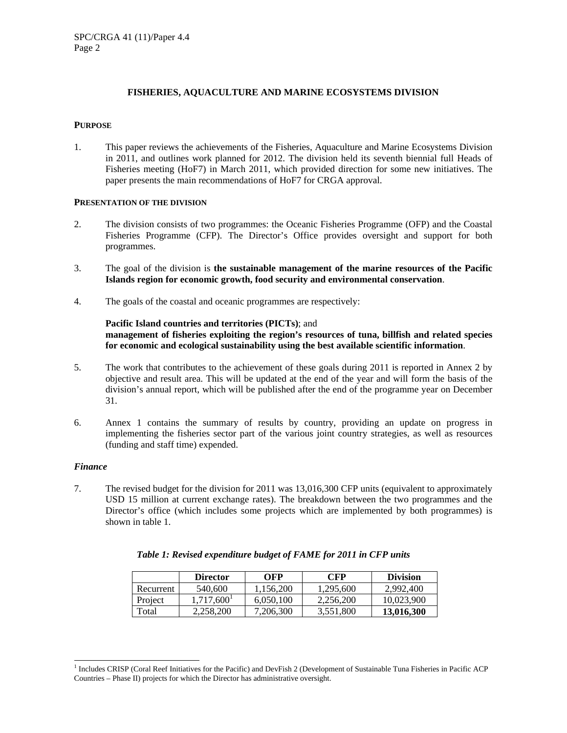# **FISHERIES, AQUACULTURE AND MARINE ECOSYSTEMS DIVISION**

## **PURPOSE**

1. This paper reviews the achievements of the Fisheries, Aquaculture and Marine Ecosystems Division in 2011, and outlines work planned for 2012. The division held its seventh biennial full Heads of Fisheries meeting (HoF7) in March 2011, which provided direction for some new initiatives. The paper presents the main recommendations of HoF7 for CRGA approval.

## **PRESENTATION OF THE DIVISION**

- 2. The division consists of two programmes: the Oceanic Fisheries Programme (OFP) and the Coastal Fisheries Programme (CFP). The Director's Office provides oversight and support for both programmes.
- 3. The goal of the division is **the sustainable management of the marine resources of the Pacific Islands region for economic growth, food security and environmental conservation**.
- 4. The goals of the coastal and oceanic programmes are respectively:

## **Pacific Island countries and territories (PICTs)**; and **management of fisheries exploiting the region's resources of tuna, billfish and related species for economic and ecological sustainability using the best available scientific information**.

- 5. The work that contributes to the achievement of these goals during 2011 is reported in Annex 2 by objective and result area. This will be updated at the end of the year and will form the basis of the division's annual report, which will be published after the end of the programme year on December 31.
- 6. Annex 1 contains the summary of results by country, providing an update on progress in implementing the fisheries sector part of the various joint country strategies, as well as resources (funding and staff time) expended.

### *Finance*

l

7. The revised budget for the division for 2011 was 13,016,300 CFP units (equivalent to approximately USD 15 million at current exchange rates). The breakdown between the two programmes and the Director's office (which includes some projects which are implemented by both programmes) is shown in table 1.

|           | <b>Director</b>        | OFP       | <b>CFP</b> | <b>Division</b> |
|-----------|------------------------|-----------|------------|-----------------|
| Recurrent | 540,600                | 1.156.200 | 1.295.600  | 2.992.400       |
| Project   | 1.717.600 <sup>1</sup> | 6.050.100 | 2.256.200  | 10.023.900      |
| Total     | 2.258.200              | 7,206,300 | 3,551,800  | 13,016,300      |

<sup>&</sup>lt;sup>1</sup> Includes CRISP (Coral Reef Initiatives for the Pacific) and DevFish 2 (Development of Sustainable Tuna Fisheries in Pacific ACP Countries – Phase II) projects for which the Director has administrative oversight.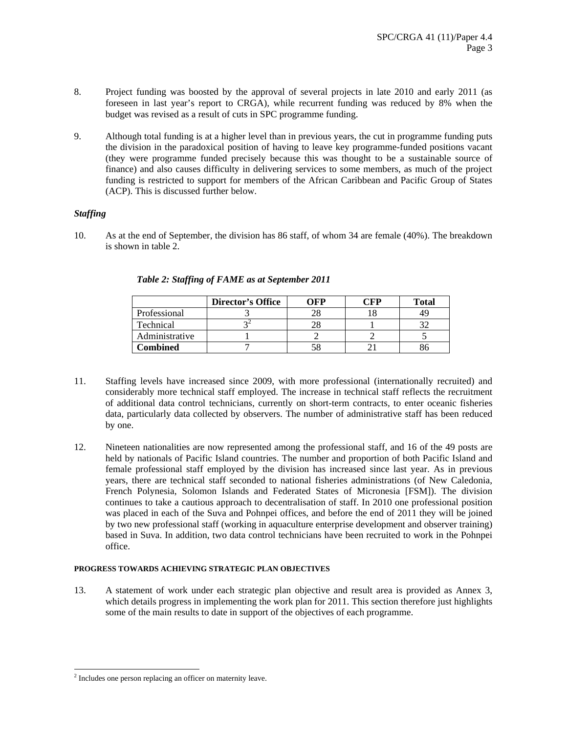- 8. Project funding was boosted by the approval of several projects in late 2010 and early 2011 (as foreseen in last year's report to CRGA), while recurrent funding was reduced by 8% when the budget was revised as a result of cuts in SPC programme funding.
- 9. Although total funding is at a higher level than in previous years, the cut in programme funding puts the division in the paradoxical position of having to leave key programme-funded positions vacant (they were programme funded precisely because this was thought to be a sustainable source of finance) and also causes difficulty in delivering services to some members, as much of the project funding is restricted to support for members of the African Caribbean and Pacific Group of States (ACP). This is discussed further below.

# *Staffing*

10. As at the end of September, the division has 86 staff, of whom 34 are female (40%). The breakdown is shown in table 2.

|                | <b>Director's Office</b> | WFP | `FP | <b>Total</b> |
|----------------|--------------------------|-----|-----|--------------|
| Professional   |                          |     |     | 49           |
| Technical      |                          |     |     |              |
| Administrative |                          |     |     |              |
| Combined       |                          |     |     |              |

*Table 2: Staffing of FAME as at September 2011* 

- 11. Staffing levels have increased since 2009, with more professional (internationally recruited) and considerably more technical staff employed. The increase in technical staff reflects the recruitment of additional data control technicians, currently on short-term contracts, to enter oceanic fisheries data, particularly data collected by observers. The number of administrative staff has been reduced by one.
- 12. Nineteen nationalities are now represented among the professional staff, and 16 of the 49 posts are held by nationals of Pacific Island countries. The number and proportion of both Pacific Island and female professional staff employed by the division has increased since last year. As in previous years, there are technical staff seconded to national fisheries administrations (of New Caledonia, French Polynesia, Solomon Islands and Federated States of Micronesia [FSM]). The division continues to take a cautious approach to decentralisation of staff. In 2010 one professional position was placed in each of the Suva and Pohnpei offices, and before the end of 2011 they will be joined by two new professional staff (working in aquaculture enterprise development and observer training) based in Suva. In addition, two data control technicians have been recruited to work in the Pohnpei office.

# **PROGRESS TOWARDS ACHIEVING STRATEGIC PLAN OBJECTIVES**

13. A statement of work under each strategic plan objective and result area is provided as Annex 3, which details progress in implementing the work plan for 2011. This section therefore just highlights some of the main results to date in support of the objectives of each programme.

 $\overline{a}$ 

<sup>&</sup>lt;sup>2</sup> Includes one person replacing an officer on maternity leave.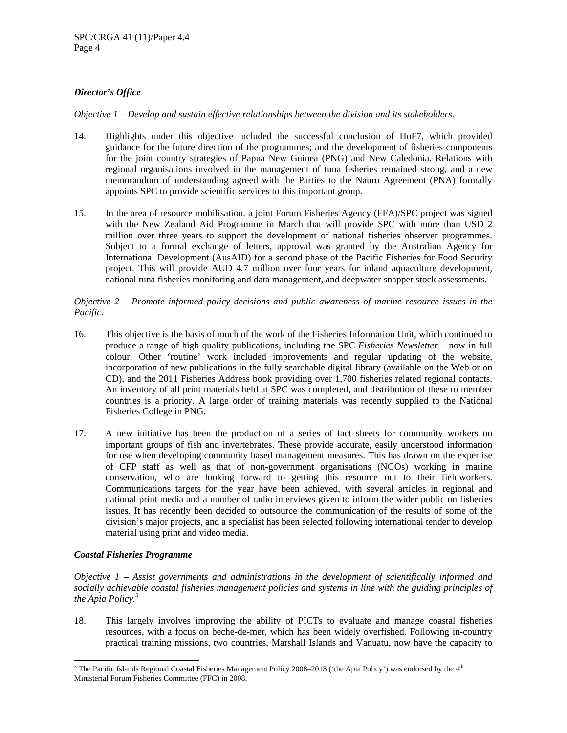# *Director's Office*

*Objective 1 – Develop and sustain effective relationships between the division and its stakeholders.* 

- 14. Highlights under this objective included the successful conclusion of HoF7, which provided guidance for the future direction of the programmes; and the development of fisheries components for the joint country strategies of Papua New Guinea (PNG) and New Caledonia. Relations with regional organisations involved in the management of tuna fisheries remained strong, and a new memorandum of understanding agreed with the Parties to the Nauru Agreement (PNA) formally appoints SPC to provide scientific services to this important group.
- 15. In the area of resource mobilisation, a joint Forum Fisheries Agency (FFA)/SPC project was signed with the New Zealand Aid Programme in March that will provide SPC with more than USD 2 million over three years to support the development of national fisheries observer programmes. Subject to a formal exchange of letters, approval was granted by the Australian Agency for International Development (AusAID) for a second phase of the Pacific Fisheries for Food Security project. This will provide AUD 4.7 million over four years for inland aquaculture development, national tuna fisheries monitoring and data management, and deepwater snapper stock assessments.

# *Objective 2 – Promote informed policy decisions and public awareness of marine resource issues in the Pacific.*

- 16. This objective is the basis of much of the work of the Fisheries Information Unit, which continued to produce a range of high quality publications, including the SPC *Fisheries Newsletter* – now in full colour. Other 'routine' work included improvements and regular updating of the website, incorporation of new publications in the fully searchable digital library (available on the Web or on CD), and the 2011 Fisheries Address book providing over 1,700 fisheries related regional contacts. An inventory of all print materials held at SPC was completed, and distribution of these to member countries is a priority. A large order of training materials was recently supplied to the National Fisheries College in PNG.
- 17. A new initiative has been the production of a series of fact sheets for community workers on important groups of fish and invertebrates. These provide accurate, easily understood information for use when developing community based management measures. This has drawn on the expertise of CFP staff as well as that of non-government organisations (NGOs) working in marine conservation, who are looking forward to getting this resource out to their fieldworkers. Communications targets for the year have been achieved, with several articles in regional and national print media and a number of radio interviews given to inform the wider public on fisheries issues. It has recently been decided to outsource the communication of the results of some of the division's major projects, and a specialist has been selected following international tender to develop material using print and video media.

# *Coastal Fisheries Programme*

*Objective 1 – Assist governments and administrations in the development of scientifically informed and socially achievable coastal fisheries management policies and systems in line with the guiding principles of the Apia Policy.<sup>3</sup>*

18. This largely involves improving the ability of PICTs to evaluate and manage coastal fisheries resources, with a focus on beche-de-mer, which has been widely overfished. Following in-country practical training missions, two countries, Marshall Islands and Vanuatu, now have the capacity to

l <sup>3</sup> The Pacific Islands Regional Coastal Fisheries Management Policy 2008–2013 ('the Apia Policy') was endorsed by the  $4<sup>th</sup>$ Ministerial Forum Fisheries Committee (FFC) in 2008.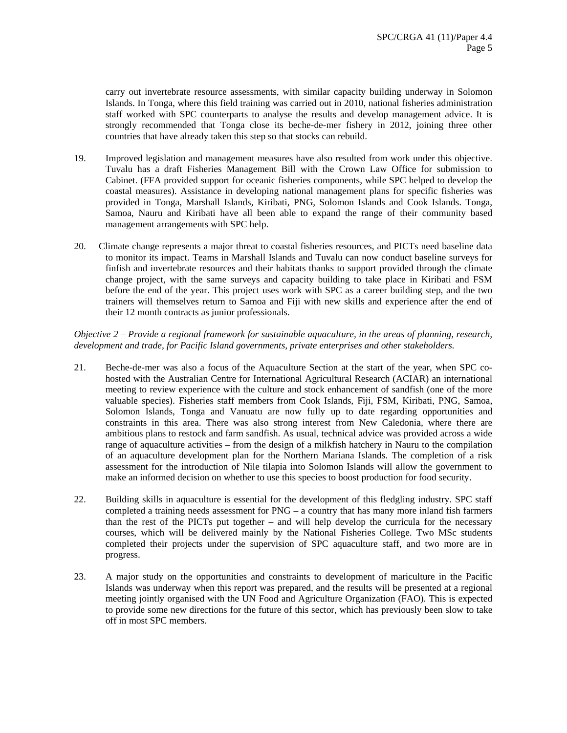carry out invertebrate resource assessments, with similar capacity building underway in Solomon Islands. In Tonga, where this field training was carried out in 2010, national fisheries administration staff worked with SPC counterparts to analyse the results and develop management advice. It is strongly recommended that Tonga close its beche-de-mer fishery in 2012, joining three other countries that have already taken this step so that stocks can rebuild.

- 19. Improved legislation and management measures have also resulted from work under this objective. Tuvalu has a draft Fisheries Management Bill with the Crown Law Office for submission to Cabinet. (FFA provided support for oceanic fisheries components, while SPC helped to develop the coastal measures). Assistance in developing national management plans for specific fisheries was provided in Tonga, Marshall Islands, Kiribati, PNG, Solomon Islands and Cook Islands. Tonga, Samoa, Nauru and Kiribati have all been able to expand the range of their community based management arrangements with SPC help.
- 20. Climate change represents a major threat to coastal fisheries resources, and PICTs need baseline data to monitor its impact. Teams in Marshall Islands and Tuvalu can now conduct baseline surveys for finfish and invertebrate resources and their habitats thanks to support provided through the climate change project, with the same surveys and capacity building to take place in Kiribati and FSM before the end of the year. This project uses work with SPC as a career building step, and the two trainers will themselves return to Samoa and Fiji with new skills and experience after the end of their 12 month contracts as junior professionals.

*Objective 2 – Provide a regional framework for sustainable aquaculture, in the areas of planning, research, development and trade, for Pacific Island governments, private enterprises and other stakeholders.* 

- 21. Beche-de-mer was also a focus of the Aquaculture Section at the start of the year, when SPC cohosted with the Australian Centre for International Agricultural Research (ACIAR) an international meeting to review experience with the culture and stock enhancement of sandfish (one of the more valuable species). Fisheries staff members from Cook Islands, Fiji, FSM, Kiribati, PNG, Samoa, Solomon Islands, Tonga and Vanuatu are now fully up to date regarding opportunities and constraints in this area. There was also strong interest from New Caledonia, where there are ambitious plans to restock and farm sandfish. As usual, technical advice was provided across a wide range of aquaculture activities – from the design of a milkfish hatchery in Nauru to the compilation of an aquaculture development plan for the Northern Mariana Islands. The completion of a risk assessment for the introduction of Nile tilapia into Solomon Islands will allow the government to make an informed decision on whether to use this species to boost production for food security.
- 22. Building skills in aquaculture is essential for the development of this fledgling industry. SPC staff completed a training needs assessment for PNG – a country that has many more inland fish farmers than the rest of the PICTs put together – and will help develop the curricula for the necessary courses, which will be delivered mainly by the National Fisheries College. Two MSc students completed their projects under the supervision of SPC aquaculture staff, and two more are in progress.
- 23. A major study on the opportunities and constraints to development of mariculture in the Pacific Islands was underway when this report was prepared, and the results will be presented at a regional meeting jointly organised with the UN Food and Agriculture Organization (FAO). This is expected to provide some new directions for the future of this sector, which has previously been slow to take off in most SPC members.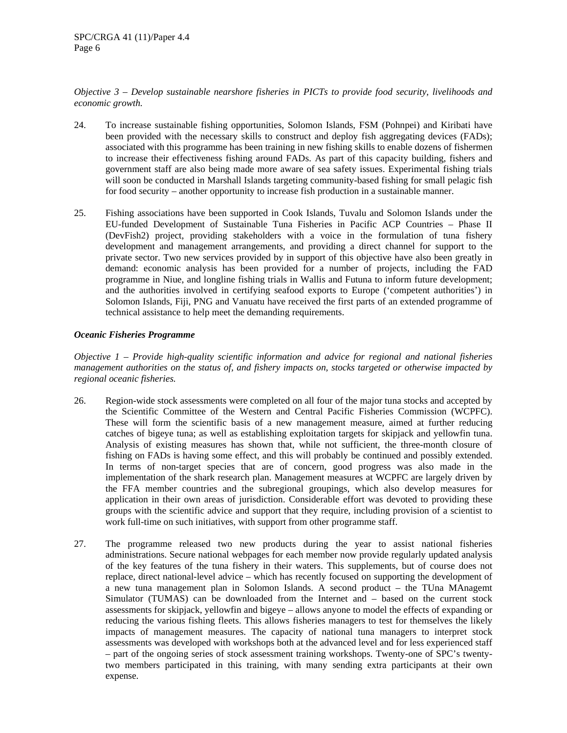*Objective 3 – Develop sustainable nearshore fisheries in PICTs to provide food security, livelihoods and economic growth.* 

- 24. To increase sustainable fishing opportunities, Solomon Islands, FSM (Pohnpei) and Kiribati have been provided with the necessary skills to construct and deploy fish aggregating devices (FADs); associated with this programme has been training in new fishing skills to enable dozens of fishermen to increase their effectiveness fishing around FADs. As part of this capacity building, fishers and government staff are also being made more aware of sea safety issues. Experimental fishing trials will soon be conducted in Marshall Islands targeting community-based fishing for small pelagic fish for food security – another opportunity to increase fish production in a sustainable manner.
- 25. Fishing associations have been supported in Cook Islands, Tuvalu and Solomon Islands under the EU-funded Development of Sustainable Tuna Fisheries in Pacific ACP Countries – Phase II (DevFish2) project, providing stakeholders with a voice in the formulation of tuna fishery development and management arrangements, and providing a direct channel for support to the private sector. Two new services provided by in support of this objective have also been greatly in demand: economic analysis has been provided for a number of projects, including the FAD programme in Niue, and longline fishing trials in Wallis and Futuna to inform future development; and the authorities involved in certifying seafood exports to Europe ('competent authorities') in Solomon Islands, Fiji, PNG and Vanuatu have received the first parts of an extended programme of technical assistance to help meet the demanding requirements.

# *Oceanic Fisheries Programme*

*Objective 1 – Provide high-quality scientific information and advice for regional and national fisheries management authorities on the status of, and fishery impacts on, stocks targeted or otherwise impacted by regional oceanic fisheries.* 

- 26. Region-wide stock assessments were completed on all four of the major tuna stocks and accepted by the Scientific Committee of the Western and Central Pacific Fisheries Commission (WCPFC). These will form the scientific basis of a new management measure, aimed at further reducing catches of bigeye tuna; as well as establishing exploitation targets for skipjack and yellowfin tuna. Analysis of existing measures has shown that, while not sufficient, the three-month closure of fishing on FADs is having some effect, and this will probably be continued and possibly extended. In terms of non-target species that are of concern, good progress was also made in the implementation of the shark research plan. Management measures at WCPFC are largely driven by the FFA member countries and the subregional groupings, which also develop measures for application in their own areas of jurisdiction. Considerable effort was devoted to providing these groups with the scientific advice and support that they require, including provision of a scientist to work full-time on such initiatives, with support from other programme staff.
- 27. The programme released two new products during the year to assist national fisheries administrations. Secure national webpages for each member now provide regularly updated analysis of the key features of the tuna fishery in their waters. This supplements, but of course does not replace, direct national-level advice – which has recently focused on supporting the development of a new tuna management plan in Solomon Islands. A second product – the TUna MAnagemt Simulator (TUMAS) can be downloaded from the Internet and – based on the current stock assessments for skipjack, yellowfin and bigeye – allows anyone to model the effects of expanding or reducing the various fishing fleets. This allows fisheries managers to test for themselves the likely impacts of management measures. The capacity of national tuna managers to interpret stock assessments was developed with workshops both at the advanced level and for less experienced staff – part of the ongoing series of stock assessment training workshops. Twenty-one of SPC's twentytwo members participated in this training, with many sending extra participants at their own expense.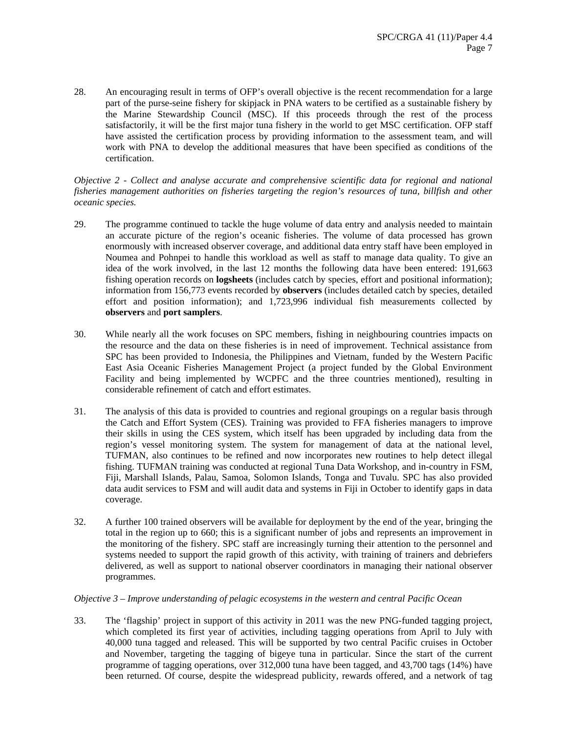28. An encouraging result in terms of OFP's overall objective is the recent recommendation for a large part of the purse-seine fishery for skipjack in PNA waters to be certified as a sustainable fishery by the Marine Stewardship Council (MSC). If this proceeds through the rest of the process satisfactorily, it will be the first major tuna fishery in the world to get MSC certification. OFP staff have assisted the certification process by providing information to the assessment team, and will work with PNA to develop the additional measures that have been specified as conditions of the certification.

*Objective 2 - Collect and analyse accurate and comprehensive scientific data for regional and national fisheries management authorities on fisheries targeting the region's resources of tuna, billfish and other oceanic species.* 

- 29. The programme continued to tackle the huge volume of data entry and analysis needed to maintain an accurate picture of the region's oceanic fisheries. The volume of data processed has grown enormously with increased observer coverage, and additional data entry staff have been employed in Noumea and Pohnpei to handle this workload as well as staff to manage data quality. To give an idea of the work involved, in the last 12 months the following data have been entered: 191,663 fishing operation records on **logsheets** (includes catch by species, effort and positional information); information from 156,773 events recorded by **observers** (includes detailed catch by species, detailed effort and position information); and 1,723,996 individual fish measurements collected by **observers** and **port samplers**.
- 30. While nearly all the work focuses on SPC members, fishing in neighbouring countries impacts on the resource and the data on these fisheries is in need of improvement. Technical assistance from SPC has been provided to Indonesia, the Philippines and Vietnam, funded by the Western Pacific East Asia Oceanic Fisheries Management Project (a project funded by the Global Environment Facility and being implemented by WCPFC and the three countries mentioned), resulting in considerable refinement of catch and effort estimates.
- 31. The analysis of this data is provided to countries and regional groupings on a regular basis through the Catch and Effort System (CES). Training was provided to FFA fisheries managers to improve their skills in using the CES system, which itself has been upgraded by including data from the region's vessel monitoring system. The system for management of data at the national level, TUFMAN, also continues to be refined and now incorporates new routines to help detect illegal fishing. TUFMAN training was conducted at regional Tuna Data Workshop, and in-country in FSM, Fiji, Marshall Islands, Palau, Samoa, Solomon Islands, Tonga and Tuvalu. SPC has also provided data audit services to FSM and will audit data and systems in Fiji in October to identify gaps in data coverage.
- 32. A further 100 trained observers will be available for deployment by the end of the year, bringing the total in the region up to 660; this is a significant number of jobs and represents an improvement in the monitoring of the fishery. SPC staff are increasingly turning their attention to the personnel and systems needed to support the rapid growth of this activity, with training of trainers and debriefers delivered, as well as support to national observer coordinators in managing their national observer programmes.

# *Objective 3 – Improve understanding of pelagic ecosystems in the western and central Pacific Ocean*

33. The 'flagship' project in support of this activity in 2011 was the new PNG-funded tagging project, which completed its first year of activities, including tagging operations from April to July with 40,000 tuna tagged and released. This will be supported by two central Pacific cruises in October and November, targeting the tagging of bigeye tuna in particular. Since the start of the current programme of tagging operations, over 312,000 tuna have been tagged, and 43,700 tags (14%) have been returned. Of course, despite the widespread publicity, rewards offered, and a network of tag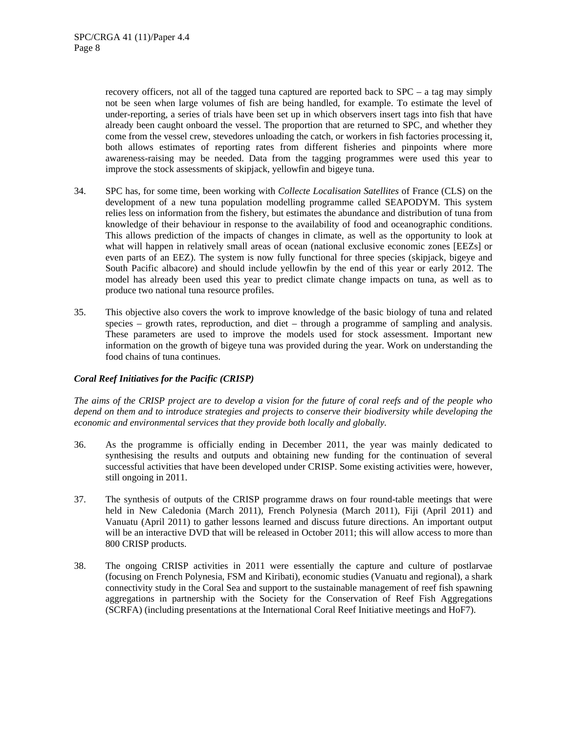recovery officers, not all of the tagged tuna captured are reported back to SPC – a tag may simply not be seen when large volumes of fish are being handled, for example. To estimate the level of under-reporting, a series of trials have been set up in which observers insert tags into fish that have already been caught onboard the vessel. The proportion that are returned to SPC, and whether they come from the vessel crew, stevedores unloading the catch, or workers in fish factories processing it, both allows estimates of reporting rates from different fisheries and pinpoints where more awareness-raising may be needed. Data from the tagging programmes were used this year to improve the stock assessments of skipjack, yellowfin and bigeye tuna.

- 34. SPC has, for some time, been working with *Collecte Localisation Satellites* of France (CLS) on the development of a new tuna population modelling programme called SEAPODYM. This system relies less on information from the fishery, but estimates the abundance and distribution of tuna from knowledge of their behaviour in response to the availability of food and oceanographic conditions. This allows prediction of the impacts of changes in climate, as well as the opportunity to look at what will happen in relatively small areas of ocean (national exclusive economic zones [EEZs] or even parts of an EEZ). The system is now fully functional for three species (skipjack, bigeye and South Pacific albacore) and should include yellowfin by the end of this year or early 2012. The model has already been used this year to predict climate change impacts on tuna, as well as to produce two national tuna resource profiles.
- 35. This objective also covers the work to improve knowledge of the basic biology of tuna and related species – growth rates, reproduction, and diet – through a programme of sampling and analysis. These parameters are used to improve the models used for stock assessment. Important new information on the growth of bigeye tuna was provided during the year. Work on understanding the food chains of tuna continues.

# *Coral Reef Initiatives for the Pacific (CRISP)*

*The aims of the CRISP project are to develop a vision for the future of coral reefs and of the people who depend on them and to introduce strategies and projects to conserve their biodiversity while developing the economic and environmental services that they provide both locally and globally.* 

- 36. As the programme is officially ending in December 2011, the year was mainly dedicated to synthesising the results and outputs and obtaining new funding for the continuation of several successful activities that have been developed under CRISP. Some existing activities were, however, still ongoing in 2011.
- 37. The synthesis of outputs of the CRISP programme draws on four round-table meetings that were held in New Caledonia (March 2011), French Polynesia (March 2011), Fiji (April 2011) and Vanuatu (April 2011) to gather lessons learned and discuss future directions. An important output will be an interactive DVD that will be released in October 2011; this will allow access to more than 800 CRISP products.
- 38. The ongoing CRISP activities in 2011 were essentially the capture and culture of postlarvae (focusing on French Polynesia, FSM and Kiribati), economic studies (Vanuatu and regional), a shark connectivity study in the Coral Sea and support to the sustainable management of reef fish spawning aggregations in partnership with the Society for the Conservation of Reef Fish Aggregations (SCRFA) (including presentations at the International Coral Reef Initiative meetings and HoF7).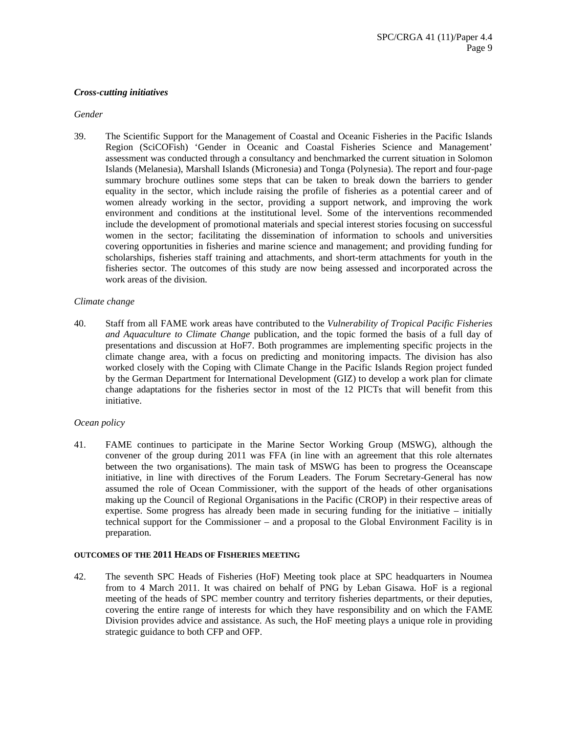# *Cross-cutting initiatives*

#### *Gender*

39. The Scientific Support for the Management of Coastal and Oceanic Fisheries in the Pacific Islands Region (SciCOFish) 'Gender in Oceanic and Coastal Fisheries Science and Management' assessment was conducted through a consultancy and benchmarked the current situation in Solomon Islands (Melanesia), Marshall Islands (Micronesia) and Tonga (Polynesia). The report and four-page summary brochure outlines some steps that can be taken to break down the barriers to gender equality in the sector, which include raising the profile of fisheries as a potential career and of women already working in the sector, providing a support network, and improving the work environment and conditions at the institutional level. Some of the interventions recommended include the development of promotional materials and special interest stories focusing on successful women in the sector; facilitating the dissemination of information to schools and universities covering opportunities in fisheries and marine science and management; and providing funding for scholarships, fisheries staff training and attachments, and short-term attachments for youth in the fisheries sector. The outcomes of this study are now being assessed and incorporated across the work areas of the division.

### *Climate change*

40. Staff from all FAME work areas have contributed to the *Vulnerability of Tropical Pacific Fisheries and Aquaculture to Climate Change* publication, and the topic formed the basis of a full day of presentations and discussion at HoF7. Both programmes are implementing specific projects in the climate change area, with a focus on predicting and monitoring impacts. The division has also worked closely with the Coping with Climate Change in the Pacific Islands Region project funded by the German Department for International Development (GIZ) to develop a work plan for climate change adaptations for the fisheries sector in most of the 12 PICTs that will benefit from this initiative.

### *Ocean policy*

41. FAME continues to participate in the Marine Sector Working Group (MSWG), although the convener of the group during 2011 was FFA (in line with an agreement that this role alternates between the two organisations). The main task of MSWG has been to progress the Oceanscape initiative, in line with directives of the Forum Leaders. The Forum Secretary-General has now assumed the role of Ocean Commissioner, with the support of the heads of other organisations making up the Council of Regional Organisations in the Pacific (CROP) in their respective areas of expertise. Some progress has already been made in securing funding for the initiative – initially technical support for the Commissioner – and a proposal to the Global Environment Facility is in preparation.

### **OUTCOMES OF THE 2011 HEADS OF FISHERIES MEETING**

42. The seventh SPC Heads of Fisheries (HoF) Meeting took place at SPC headquarters in Noumea from to 4 March 2011. It was chaired on behalf of PNG by Leban Gisawa. HoF is a regional meeting of the heads of SPC member country and territory fisheries departments, or their deputies, covering the entire range of interests for which they have responsibility and on which the FAME Division provides advice and assistance. As such, the HoF meeting plays a unique role in providing strategic guidance to both CFP and OFP.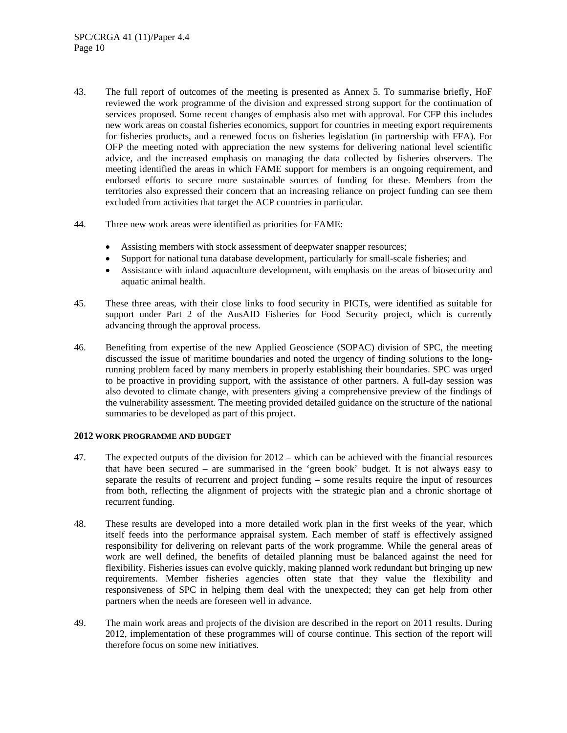- 43. The full report of outcomes of the meeting is presented as Annex 5. To summarise briefly, HoF reviewed the work programme of the division and expressed strong support for the continuation of services proposed. Some recent changes of emphasis also met with approval. For CFP this includes new work areas on coastal fisheries economics, support for countries in meeting export requirements for fisheries products, and a renewed focus on fisheries legislation (in partnership with FFA). For OFP the meeting noted with appreciation the new systems for delivering national level scientific advice, and the increased emphasis on managing the data collected by fisheries observers. The meeting identified the areas in which FAME support for members is an ongoing requirement, and endorsed efforts to secure more sustainable sources of funding for these. Members from the territories also expressed their concern that an increasing reliance on project funding can see them excluded from activities that target the ACP countries in particular.
- 44. Three new work areas were identified as priorities for FAME:
	- Assisting members with stock assessment of deepwater snapper resources;
	- Support for national tuna database development, particularly for small-scale fisheries; and
	- Assistance with inland aquaculture development, with emphasis on the areas of biosecurity and aquatic animal health.
- 45. These three areas, with their close links to food security in PICTs, were identified as suitable for support under Part 2 of the AusAID Fisheries for Food Security project, which is currently advancing through the approval process.
- 46. Benefiting from expertise of the new Applied Geoscience (SOPAC) division of SPC, the meeting discussed the issue of maritime boundaries and noted the urgency of finding solutions to the longrunning problem faced by many members in properly establishing their boundaries. SPC was urged to be proactive in providing support, with the assistance of other partners. A full-day session was also devoted to climate change, with presenters giving a comprehensive preview of the findings of the vulnerability assessment. The meeting provided detailed guidance on the structure of the national summaries to be developed as part of this project.

### **2012 WORK PROGRAMME AND BUDGET**

- 47. The expected outputs of the division for 2012 which can be achieved with the financial resources that have been secured – are summarised in the 'green book' budget. It is not always easy to separate the results of recurrent and project funding – some results require the input of resources from both, reflecting the alignment of projects with the strategic plan and a chronic shortage of recurrent funding.
- 48. These results are developed into a more detailed work plan in the first weeks of the year, which itself feeds into the performance appraisal system. Each member of staff is effectively assigned responsibility for delivering on relevant parts of the work programme. While the general areas of work are well defined, the benefits of detailed planning must be balanced against the need for flexibility. Fisheries issues can evolve quickly, making planned work redundant but bringing up new requirements. Member fisheries agencies often state that they value the flexibility and responsiveness of SPC in helping them deal with the unexpected; they can get help from other partners when the needs are foreseen well in advance.
- 49. The main work areas and projects of the division are described in the report on 2011 results. During 2012, implementation of these programmes will of course continue. This section of the report will therefore focus on some new initiatives.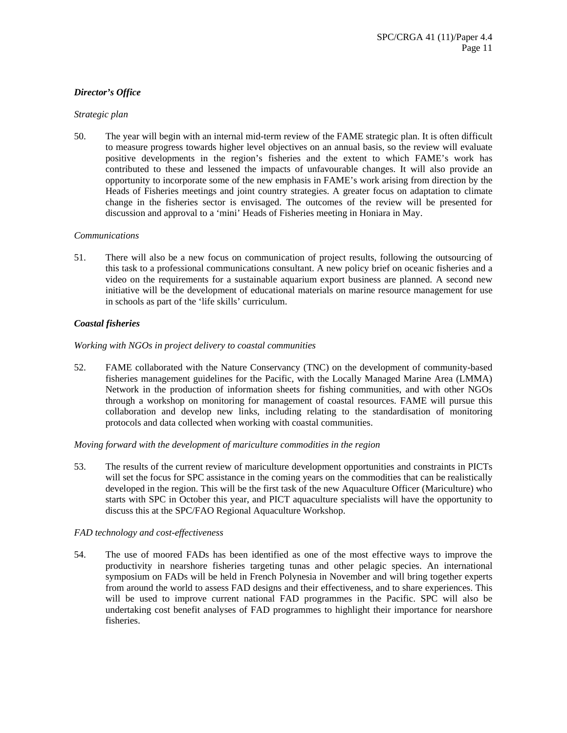# *Director's Office*

## *Strategic plan*

50. The year will begin with an internal mid-term review of the FAME strategic plan. It is often difficult to measure progress towards higher level objectives on an annual basis, so the review will evaluate positive developments in the region's fisheries and the extent to which FAME's work has contributed to these and lessened the impacts of unfavourable changes. It will also provide an opportunity to incorporate some of the new emphasis in FAME's work arising from direction by the Heads of Fisheries meetings and joint country strategies. A greater focus on adaptation to climate change in the fisheries sector is envisaged. The outcomes of the review will be presented for discussion and approval to a 'mini' Heads of Fisheries meeting in Honiara in May.

## *Communications*

51. There will also be a new focus on communication of project results, following the outsourcing of this task to a professional communications consultant. A new policy brief on oceanic fisheries and a video on the requirements for a sustainable aquarium export business are planned. A second new initiative will be the development of educational materials on marine resource management for use in schools as part of the 'life skills' curriculum.

# *Coastal fisheries*

## *Working with NGOs in project delivery to coastal communities*

52. FAME collaborated with the Nature Conservancy (TNC) on the development of community-based fisheries management guidelines for the Pacific, with the Locally Managed Marine Area (LMMA) Network in the production of information sheets for fishing communities, and with other NGOs through a workshop on monitoring for management of coastal resources. FAME will pursue this collaboration and develop new links, including relating to the standardisation of monitoring protocols and data collected when working with coastal communities.

# *Moving forward with the development of mariculture commodities in the region*

53. The results of the current review of mariculture development opportunities and constraints in PICTs will set the focus for SPC assistance in the coming years on the commodities that can be realistically developed in the region. This will be the first task of the new Aquaculture Officer (Mariculture) who starts with SPC in October this year, and PICT aquaculture specialists will have the opportunity to discuss this at the SPC/FAO Regional Aquaculture Workshop.

# *FAD technology and cost-effectiveness*

54. The use of moored FADs has been identified as one of the most effective ways to improve the productivity in nearshore fisheries targeting tunas and other pelagic species. An international symposium on FADs will be held in French Polynesia in November and will bring together experts from around the world to assess FAD designs and their effectiveness, and to share experiences. This will be used to improve current national FAD programmes in the Pacific. SPC will also be undertaking cost benefit analyses of FAD programmes to highlight their importance for nearshore fisheries.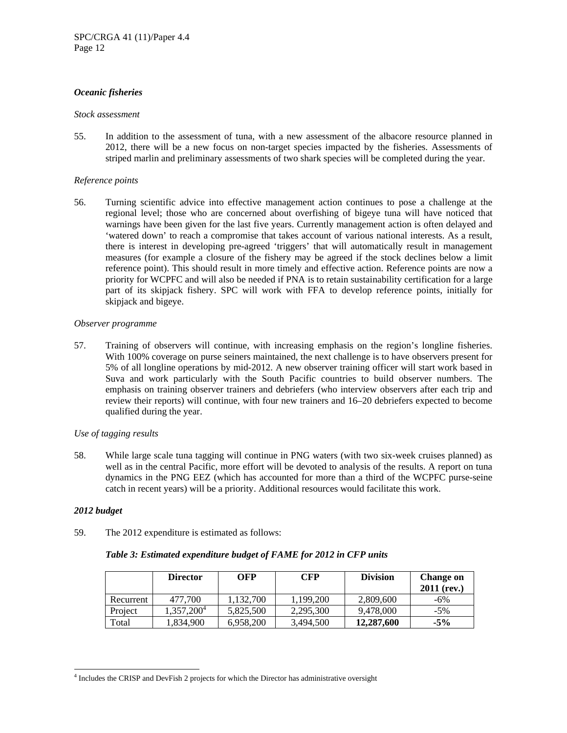# *Oceanic fisheries*

### *Stock assessment*

55. In addition to the assessment of tuna, with a new assessment of the albacore resource planned in 2012, there will be a new focus on non-target species impacted by the fisheries. Assessments of striped marlin and preliminary assessments of two shark species will be completed during the year.

# *Reference points*

56. Turning scientific advice into effective management action continues to pose a challenge at the regional level; those who are concerned about overfishing of bigeye tuna will have noticed that warnings have been given for the last five years. Currently management action is often delayed and 'watered down' to reach a compromise that takes account of various national interests. As a result, there is interest in developing pre-agreed 'triggers' that will automatically result in management measures (for example a closure of the fishery may be agreed if the stock declines below a limit reference point). This should result in more timely and effective action. Reference points are now a priority for WCPFC and will also be needed if PNA is to retain sustainability certification for a large part of its skipjack fishery. SPC will work with FFA to develop reference points, initially for skipjack and bigeye.

# *Observer programme*

57. Training of observers will continue, with increasing emphasis on the region's longline fisheries. With 100% coverage on purse seiners maintained, the next challenge is to have observers present for 5% of all longline operations by mid-2012. A new observer training officer will start work based in Suva and work particularly with the South Pacific countries to build observer numbers. The emphasis on training observer trainers and debriefers (who interview observers after each trip and review their reports) will continue, with four new trainers and 16–20 debriefers expected to become qualified during the year.

# *Use of tagging results*

58. While large scale tuna tagging will continue in PNG waters (with two six-week cruises planned) as well as in the central Pacific, more effort will be devoted to analysis of the results. A report on tuna dynamics in the PNG EEZ (which has accounted for more than a third of the WCPFC purse-seine catch in recent years) will be a priority. Additional resources would facilitate this work.

# *2012 budget*

 $\overline{a}$ 

59. The 2012 expenditure is estimated as follows:

# *Table 3: Estimated expenditure budget of FAME for 2012 in CFP units*

|           | <b>Director</b>        | OFP       | <b>CFP</b> | <b>Division</b> | <b>Change on</b><br>$2011$ (rev.) |
|-----------|------------------------|-----------|------------|-----------------|-----------------------------------|
| Recurrent | 477,700                | 1.132.700 | 1.199.200  | 2,809,600       | -6%                               |
| Project   | 1,357,200 <sup>4</sup> | 5.825.500 | 2.295.300  | 9.478,000       | $-5\%$                            |
| Total     | 1,834,900              | 6,958,200 | 3,494,500  | 12,287,600      | $-5\%$                            |

<sup>&</sup>lt;sup>4</sup> Includes the CRISP and DevFish 2 projects for which the Director has administrative oversight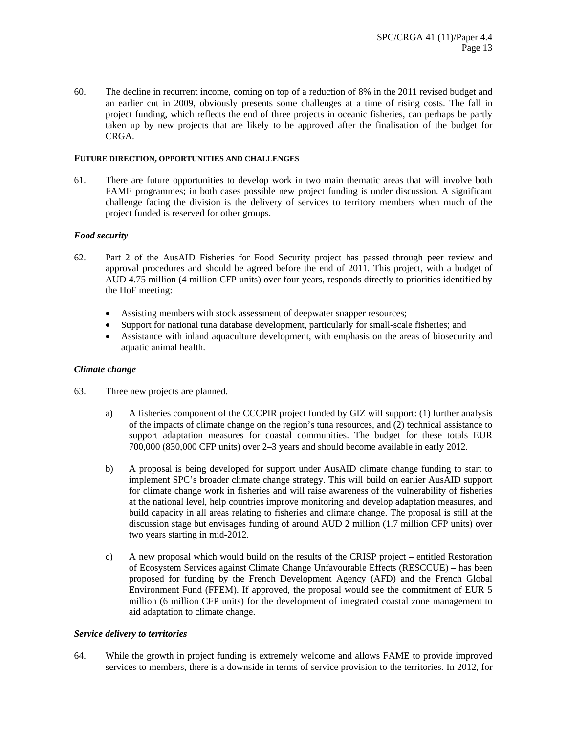60. The decline in recurrent income, coming on top of a reduction of 8% in the 2011 revised budget and an earlier cut in 2009, obviously presents some challenges at a time of rising costs. The fall in project funding, which reflects the end of three projects in oceanic fisheries, can perhaps be partly taken up by new projects that are likely to be approved after the finalisation of the budget for CRGA.

## **FUTURE DIRECTION, OPPORTUNITIES AND CHALLENGES**

61. There are future opportunities to develop work in two main thematic areas that will involve both FAME programmes; in both cases possible new project funding is under discussion. A significant challenge facing the division is the delivery of services to territory members when much of the project funded is reserved for other groups.

# *Food security*

- 62. Part 2 of the AusAID Fisheries for Food Security project has passed through peer review and approval procedures and should be agreed before the end of 2011. This project, with a budget of AUD 4.75 million (4 million CFP units) over four years, responds directly to priorities identified by the HoF meeting:
	- Assisting members with stock assessment of deepwater snapper resources;
	- Support for national tuna database development, particularly for small-scale fisheries; and
	- Assistance with inland aquaculture development, with emphasis on the areas of biosecurity and aquatic animal health.

### *Climate change*

- 63. Three new projects are planned.
	- a) A fisheries component of the CCCPIR project funded by GIZ will support: (1) further analysis of the impacts of climate change on the region's tuna resources, and (2) technical assistance to support adaptation measures for coastal communities. The budget for these totals EUR 700,000 (830,000 CFP units) over 2–3 years and should become available in early 2012.
	- b) A proposal is being developed for support under AusAID climate change funding to start to implement SPC's broader climate change strategy. This will build on earlier AusAID support for climate change work in fisheries and will raise awareness of the vulnerability of fisheries at the national level, help countries improve monitoring and develop adaptation measures, and build capacity in all areas relating to fisheries and climate change. The proposal is still at the discussion stage but envisages funding of around AUD 2 million (1.7 million CFP units) over two years starting in mid-2012.
	- c) A new proposal which would build on the results of the CRISP project entitled Restoration of Ecosystem Services against Climate Change Unfavourable Effects (RESCCUE) – has been proposed for funding by the French Development Agency (AFD) and the French Global Environment Fund (FFEM). If approved, the proposal would see the commitment of EUR 5 million (6 million CFP units) for the development of integrated coastal zone management to aid adaptation to climate change.

### *Service delivery to territories*

64. While the growth in project funding is extremely welcome and allows FAME to provide improved services to members, there is a downside in terms of service provision to the territories. In 2012, for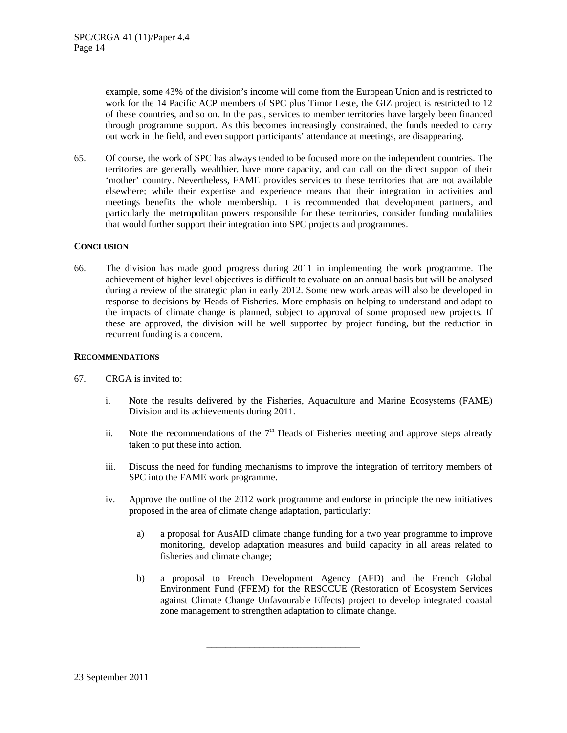example, some 43% of the division's income will come from the European Union and is restricted to work for the 14 Pacific ACP members of SPC plus Timor Leste, the GIZ project is restricted to 12 of these countries, and so on. In the past, services to member territories have largely been financed through programme support. As this becomes increasingly constrained, the funds needed to carry out work in the field, and even support participants' attendance at meetings, are disappearing.

65. Of course, the work of SPC has always tended to be focused more on the independent countries. The territories are generally wealthier, have more capacity, and can call on the direct support of their 'mother' country. Nevertheless, FAME provides services to these territories that are not available elsewhere; while their expertise and experience means that their integration in activities and meetings benefits the whole membership. It is recommended that development partners, and particularly the metropolitan powers responsible for these territories, consider funding modalities that would further support their integration into SPC projects and programmes.

## **CONCLUSION**

66. The division has made good progress during 2011 in implementing the work programme. The achievement of higher level objectives is difficult to evaluate on an annual basis but will be analysed during a review of the strategic plan in early 2012. Some new work areas will also be developed in response to decisions by Heads of Fisheries. More emphasis on helping to understand and adapt to the impacts of climate change is planned, subject to approval of some proposed new projects. If these are approved, the division will be well supported by project funding, but the reduction in recurrent funding is a concern.

### **RECOMMENDATIONS**

- 67. CRGA is invited to:
	- i. Note the results delivered by the Fisheries, Aquaculture and Marine Ecosystems (FAME) Division and its achievements during 2011.
	- ii. Note the recommendations of the  $7<sup>th</sup>$  Heads of Fisheries meeting and approve steps already taken to put these into action.
	- iii. Discuss the need for funding mechanisms to improve the integration of territory members of SPC into the FAME work programme.
	- iv. Approve the outline of the 2012 work programme and endorse in principle the new initiatives proposed in the area of climate change adaptation, particularly:
		- a) a proposal for AusAID climate change funding for a two year programme to improve monitoring, develop adaptation measures and build capacity in all areas related to fisheries and climate change;
		- b) a proposal to French Development Agency (AFD) and the French Global Environment Fund (FFEM) for the RESCCUE (Restoration of Ecosystem Services against Climate Change Unfavourable Effects) project to develop integrated coastal zone management to strengthen adaptation to climate change.

\_\_\_\_\_\_\_\_\_\_\_\_\_\_\_\_\_\_\_\_\_\_\_\_\_\_\_\_\_\_\_\_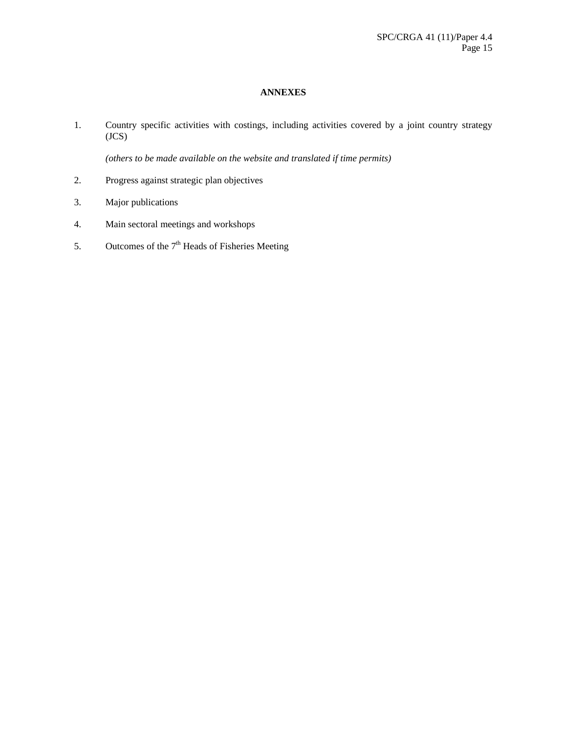# **ANNEXES**

1. Country specific activities with costings, including activities covered by a joint country strategy (JCS)

*(others to be made available on the website and translated if time permits)* 

- 2. Progress against strategic plan objectives
- 3. Major publications
- 4. Main sectoral meetings and workshops
- 5. Outcomes of the  $7<sup>th</sup>$  Heads of Fisheries Meeting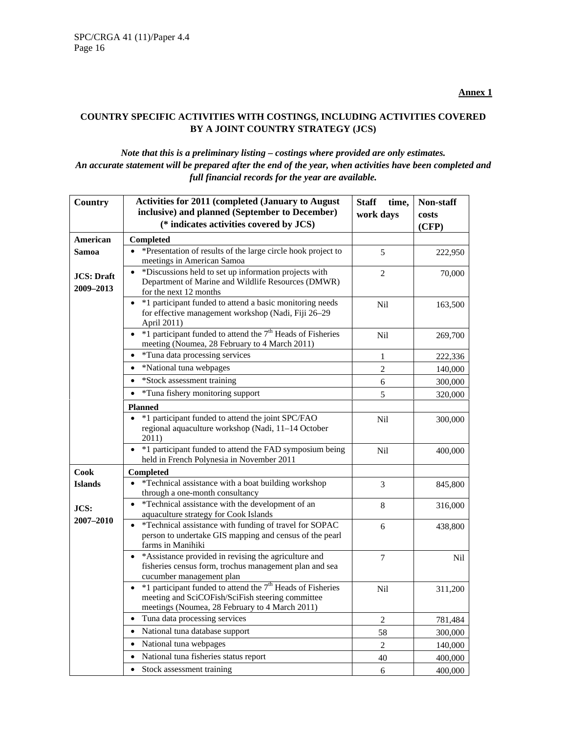# **COUNTRY SPECIFIC ACTIVITIES WITH COSTINGS, INCLUDING ACTIVITIES COVERED BY A JOINT COUNTRY STRATEGY (JCS)**

# *Note that this is a preliminary listing – costings where provided are only estimates. An accurate statement will be prepared after the end of the year, when activities have been completed and full financial records for the year are available.*

| <b>Country</b>                  | <b>Activities for 2011 (completed (January to August</b><br>inclusive) and planned (September to December)                                                             | <b>Staff</b><br>time, | Non-staff      |
|---------------------------------|------------------------------------------------------------------------------------------------------------------------------------------------------------------------|-----------------------|----------------|
|                                 | (* indicates activities covered by JCS)                                                                                                                                | work days             | costs<br>(CFP) |
| American                        | Completed                                                                                                                                                              |                       |                |
| Samoa                           | *Presentation of results of the large circle hook project to<br>$\bullet$                                                                                              | 5                     | 222,950        |
|                                 | meetings in American Samoa                                                                                                                                             |                       |                |
| <b>JCS</b> : Draft<br>2009-2013 | *Discussions held to set up information projects with<br>Department of Marine and Wildlife Resources (DMWR)<br>for the next 12 months                                  | $\overline{2}$        | 70,000         |
|                                 | *1 participant funded to attend a basic monitoring needs<br>for effective management workshop (Nadi, Fiji 26-29<br>April 2011)                                         | Nil                   | 163,500        |
|                                 | *1 participant funded to attend the 7 <sup>th</sup> Heads of Fisheries<br>$\bullet$<br>meeting (Noumea, 28 February to 4 March 2011)                                   | Nil                   | 269,700        |
|                                 | *Tuna data processing services<br>$\bullet$                                                                                                                            | 1                     | 222,336        |
|                                 | *National tuna webpages<br>$\bullet$                                                                                                                                   | $\sqrt{2}$            | 140,000        |
|                                 | *Stock assessment training<br>$\bullet$                                                                                                                                | 6                     | 300,000        |
|                                 | *Tuna fishery monitoring support                                                                                                                                       | 5                     | 320,000        |
|                                 | <b>Planned</b>                                                                                                                                                         |                       |                |
|                                 | *1 participant funded to attend the joint SPC/FAO<br>regional aquaculture workshop (Nadi, 11-14 October<br>2011)                                                       | Nil                   | 300,000        |
|                                 | *1 participant funded to attend the FAD symposium being<br>$\bullet$<br>held in French Polynesia in November 2011                                                      | Nil                   | 400,000        |
| <b>Cook</b>                     | <b>Completed</b>                                                                                                                                                       |                       |                |
| <b>Islands</b>                  | *Technical assistance with a boat building workshop<br>through a one-month consultancy                                                                                 | 3                     | 845,800        |
| JCS:                            | *Technical assistance with the development of an<br>$\bullet$<br>aquaculture strategy for Cook Islands                                                                 | 8                     | 316,000        |
| 2007-2010                       | *Technical assistance with funding of travel for SOPAC<br>$\bullet$<br>person to undertake GIS mapping and census of the pearl<br>farms in Manihiki                    | 6                     | 438,800        |
|                                 | • *Assistance provided in revising the agriculture and<br>fisheries census form, trochus management plan and sea<br>cucumber management plan                           | 7                     | Nil            |
|                                 | • $*1$ participant funded to attend the $7th$ Heads of Fisheries<br>meeting and SciCOFish/SciFish steering committee<br>meetings (Noumea, 28 February to 4 March 2011) | Nil                   | 311,200        |
|                                 | Tuna data processing services<br>$\bullet$                                                                                                                             | $\overline{c}$        | 781,484        |
|                                 | National tuna database support<br>$\bullet$                                                                                                                            | 58                    | 300,000        |
|                                 | National tuna webpages<br>$\bullet$                                                                                                                                    | $\sqrt{2}$            | 140,000        |
|                                 | National tuna fisheries status report                                                                                                                                  | 40                    | 400,000        |
|                                 | Stock assessment training                                                                                                                                              | 6                     | 400,000        |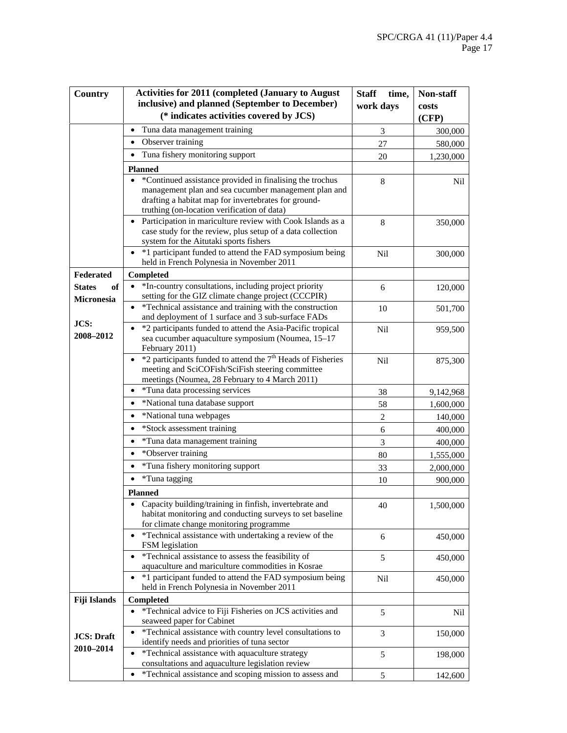| Country             | <b>Activities for 2011 (completed (January to August)</b>                                                                                                       | <b>Staff</b><br>time, | Non-staff |
|---------------------|-----------------------------------------------------------------------------------------------------------------------------------------------------------------|-----------------------|-----------|
|                     | inclusive) and planned (September to December)                                                                                                                  | work days             | costs     |
|                     | (* indicates activities covered by JCS)                                                                                                                         |                       | (CFP)     |
|                     | Tuna data management training<br>$\bullet$                                                                                                                      | 3                     | 300,000   |
|                     | Observer training<br>$\bullet$                                                                                                                                  | 27                    | 580,000   |
|                     | Tuna fishery monitoring support<br>٠                                                                                                                            | 20                    | 1,230,000 |
|                     | <b>Planned</b>                                                                                                                                                  |                       |           |
|                     | *Continued assistance provided in finalising the trochus                                                                                                        | $\,8\,$               | Nil       |
|                     | management plan and sea cucumber management plan and                                                                                                            |                       |           |
|                     | drafting a habitat map for invertebrates for ground-<br>truthing (on-location verification of data)                                                             |                       |           |
|                     | • Participation in mariculture review with Cook Islands as a                                                                                                    | 8                     | 350,000   |
|                     | case study for the review, plus setup of a data collection                                                                                                      |                       |           |
|                     | system for the Aitutaki sports fishers                                                                                                                          |                       |           |
|                     | *1 participant funded to attend the FAD symposium being<br>held in French Polynesia in November 2011                                                            | <b>Nil</b>            | 300,000   |
| Federated           | Completed                                                                                                                                                       |                       |           |
| <b>States</b><br>of | *In-country consultations, including project priority<br>$\bullet$                                                                                              | 6                     | 120,000   |
| <b>Micronesia</b>   | setting for the GIZ climate change project (CCCPIR)                                                                                                             |                       |           |
|                     | *Technical assistance and training with the construction                                                                                                        | 10                    | 501,700   |
| JCS:                | and deployment of 1 surface and 3 sub-surface FADs                                                                                                              |                       |           |
| 2008-2012           | *2 participants funded to attend the Asia-Pacific tropical<br>$\bullet$<br>sea cucumber aquaculture symposium (Noumea, 15-17                                    | Nil                   | 959,500   |
|                     | February 2011)                                                                                                                                                  |                       |           |
|                     | $*2$ participants funded to attend the $7th$ Heads of Fisheries<br>meeting and SciCOFish/SciFish steering committee                                             | Nil                   | 875,300   |
|                     | meetings (Noumea, 28 February to 4 March 2011)                                                                                                                  |                       |           |
|                     | *Tuna data processing services<br>$\bullet$                                                                                                                     | 38                    | 9,142,968 |
|                     | *National tuna database support<br>$\bullet$                                                                                                                    | 58                    | 1,600,000 |
|                     | *National tuna webpages<br>٠                                                                                                                                    | $\sqrt{2}$            | 140,000   |
|                     | *Stock assessment training<br>$\bullet$                                                                                                                         | 6                     | 400,000   |
|                     | *Tuna data management training<br>$\bullet$                                                                                                                     | 3                     | 400,000   |
|                     | *Observer training<br>$\bullet$                                                                                                                                 | 80                    | 1,555,000 |
|                     | *Tuna fishery monitoring support                                                                                                                                | 33                    | 2,000,000 |
|                     | *Tuna tagging<br>$\bullet$                                                                                                                                      | 10                    | 900,000   |
|                     | <b>Planned</b>                                                                                                                                                  |                       |           |
|                     | Capacity building/training in finfish, invertebrate and<br>habitat monitoring and conducting surveys to set baseline<br>for climate change monitoring programme | 40                    | 1,500,000 |
|                     | *Technical assistance with undertaking a review of the<br>$\bullet$<br>FSM legislation                                                                          | 6                     | 450,000   |
|                     | *Technical assistance to assess the feasibility of<br>$\bullet$                                                                                                 | 5                     | 450,000   |
|                     | aquaculture and mariculture commodities in Kosrae                                                                                                               |                       |           |
|                     | *1 participant funded to attend the FAD symposium being<br>held in French Polynesia in November 2011                                                            | Nil                   | 450,000   |
| Fiji Islands        | Completed                                                                                                                                                       |                       |           |
|                     | *Technical advice to Fiji Fisheries on JCS activities and<br>$\bullet$<br>seaweed paper for Cabinet                                                             | 5                     | Nil       |
| <b>JCS: Draft</b>   | *Technical assistance with country level consultations to                                                                                                       | 3                     | 150,000   |
| 2010-2014           | identify needs and priorities of tuna sector<br>*Technical assistance with aquaculture strategy                                                                 | $\sqrt{5}$            | 198,000   |
|                     | consultations and aquaculture legislation review                                                                                                                |                       |           |
|                     | *Technical assistance and scoping mission to assess and<br>$\bullet$                                                                                            | $\mathfrak s$         | 142,600   |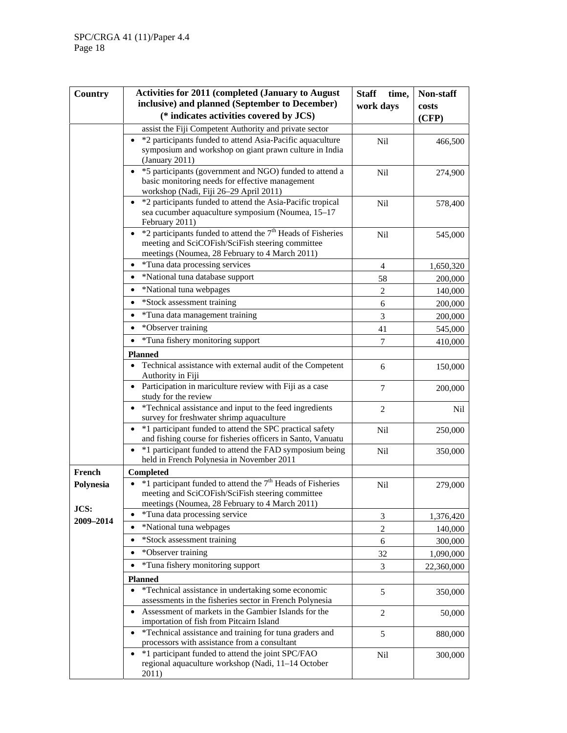| Country           | <b>Activities for 2011 (completed (January to August)</b>                                                                                                                     | <b>Staff</b><br>time, | Non-staff  |
|-------------------|-------------------------------------------------------------------------------------------------------------------------------------------------------------------------------|-----------------------|------------|
|                   | inclusive) and planned (September to December)                                                                                                                                | work days             | costs      |
|                   | (* indicates activities covered by JCS)                                                                                                                                       |                       | (CFP)      |
|                   | assist the Fiji Competent Authority and private sector                                                                                                                        |                       |            |
|                   | *2 participants funded to attend Asia-Pacific aquaculture<br>symposium and workshop on giant prawn culture in India<br>(January 2011)                                         | <b>Nil</b>            | 466,500    |
|                   | *5 participants (government and NGO) funded to attend a<br>$\bullet$<br>basic monitoring needs for effective management<br>workshop (Nadi, Fiji 26-29 April 2011)             | Nil                   | 274,900    |
|                   | *2 participants funded to attend the Asia-Pacific tropical<br>$\bullet$<br>sea cucumber aquaculture symposium (Noumea, 15-17<br>February 2011)                                | Nil                   | 578,400    |
|                   | *2 participants funded to attend the 7 <sup>th</sup> Heads of Fisheries<br>meeting and SciCOFish/SciFish steering committee<br>meetings (Noumea, 28 February to 4 March 2011) | Nil                   | 545,000    |
|                   | • *Tuna data processing services                                                                                                                                              | $\overline{4}$        | 1,650,320  |
|                   | *National tuna database support<br>$\bullet$                                                                                                                                  | 58                    | 200,000    |
|                   | *National tuna webpages<br>$\bullet$                                                                                                                                          | $\overline{2}$        | 140,000    |
|                   | *Stock assessment training                                                                                                                                                    | 6                     | 200,000    |
|                   | *Tuna data management training<br>$\bullet$                                                                                                                                   | 3                     | 200,000    |
|                   | *Observer training<br>$\bullet$                                                                                                                                               | 41                    | 545,000    |
|                   | *Tuna fishery monitoring support                                                                                                                                              | $\boldsymbol{7}$      | 410,000    |
|                   | <b>Planned</b>                                                                                                                                                                |                       |            |
|                   | Technical assistance with external audit of the Competent<br>Authority in Fiji                                                                                                | 6                     | 150,000    |
|                   | • Participation in mariculture review with Fiji as a case<br>study for the review                                                                                             | 7                     | 200,000    |
|                   | *Technical assistance and input to the feed ingredients<br>survey for freshwater shrimp aquaculture                                                                           | 2                     | Nil        |
|                   | *1 participant funded to attend the SPC practical safety<br>$\bullet$<br>and fishing course for fisheries officers in Santo, Vanuatu                                          | Nil                   | 250,000    |
|                   | *1 participant funded to attend the FAD symposium being<br>held in French Polynesia in November 2011                                                                          | <b>Nil</b>            | 350,000    |
| French            | Completed                                                                                                                                                                     |                       |            |
| Polynesia         | $*1$ participant funded to attend the $7th$ Heads of Fisheries<br>meeting and SciCOFish/SciFish steering committee<br>meetings (Noumea, 28 February to 4 March 2011)          | Nil                   | 279,000    |
| JCS:<br>2009-2014 | *Tuna data processing service<br>٠                                                                                                                                            | 3                     | 1,376,420  |
|                   | *National tuna webpages                                                                                                                                                       | $\overline{2}$        | 140,000    |
|                   | *Stock assessment training                                                                                                                                                    | $\sqrt{6}$            | 300,000    |
|                   | *Observer training                                                                                                                                                            | 32                    | 1,090,000  |
|                   | *Tuna fishery monitoring support<br>$\bullet$                                                                                                                                 | 3                     | 22,360,000 |
|                   | <b>Planned</b>                                                                                                                                                                |                       |            |
|                   | *Technical assistance in undertaking some economic<br>$\bullet$<br>assessments in the fisheries sector in French Polynesia                                                    | 5                     | 350,000    |
|                   | Assessment of markets in the Gambier Islands for the<br>$\bullet$<br>importation of fish from Pitcairn Island                                                                 | 2                     | 50,000     |
|                   | *Technical assistance and training for tuna graders and<br>$\bullet$<br>processors with assistance from a consultant                                                          | 5                     | 880,000    |
|                   | *1 participant funded to attend the joint SPC/FAO<br>$\bullet$<br>regional aquaculture workshop (Nadi, 11-14 October<br>2011)                                                 | Nil                   | 300,000    |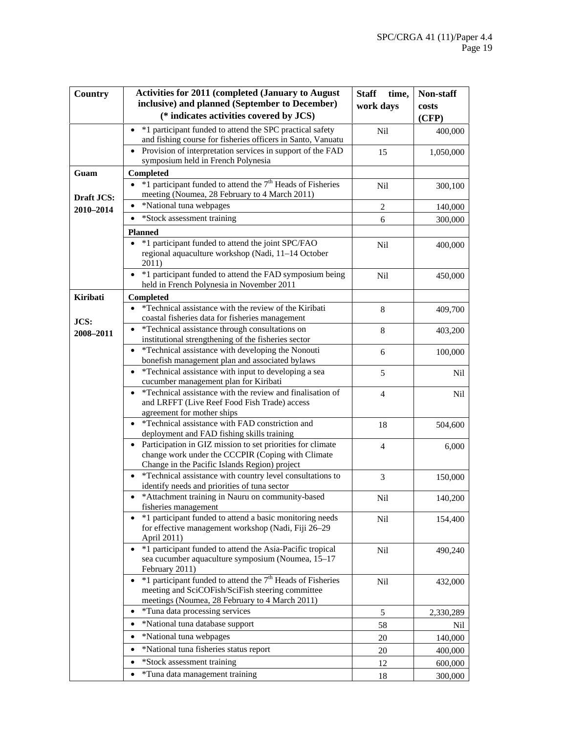| Country    | <b>Activities for 2011 (completed (January to August)</b>                                                                                                                    | <b>Staff</b><br>time, | Non-staff |
|------------|------------------------------------------------------------------------------------------------------------------------------------------------------------------------------|-----------------------|-----------|
|            | inclusive) and planned (September to December)                                                                                                                               | work days             | costs     |
|            | (* indicates activities covered by JCS)                                                                                                                                      |                       | (CFP)     |
|            | *1 participant funded to attend the SPC practical safety<br>$\bullet$<br>and fishing course for fisheries officers in Santo, Vanuatu                                         | Nil                   | 400,000   |
|            | Provision of interpretation services in support of the FAD<br>$\bullet$<br>symposium held in French Polynesia                                                                | 15                    | 1,050,000 |
| Guam       | Completed                                                                                                                                                                    |                       |           |
|            | *1 participant funded to attend the 7 <sup>th</sup> Heads of Fisheries<br>$\bullet$<br>meeting (Noumea, 28 February to 4 March 2011)                                         | Nil                   | 300,100   |
| Draft JCS: | *National tuna webpages                                                                                                                                                      | $\sqrt{2}$            | 140,000   |
| 2010-2014  | *Stock assessment training<br>٠                                                                                                                                              | 6                     |           |
|            |                                                                                                                                                                              |                       | 300,000   |
|            | <b>Planned</b><br>*1 participant funded to attend the joint SPC/FAO<br>regional aquaculture workshop (Nadi, 11-14 October<br>2011)                                           | Nil                   | 400,000   |
|            | • *1 participant funded to attend the FAD symposium being<br>held in French Polynesia in November 2011                                                                       | Nil                   | 450,000   |
| Kiribati   | Completed                                                                                                                                                                    |                       |           |
|            | *Technical assistance with the review of the Kiribati                                                                                                                        | $\,8\,$               | 409,700   |
| JCS:       | coastal fisheries data for fisheries management                                                                                                                              |                       |           |
| 2008-2011  | *Technical assistance through consultations on<br>institutional strengthening of the fisheries sector                                                                        | 8                     | 403,200   |
|            | *Technical assistance with developing the Nonouti<br>$\bullet$<br>bonefish management plan and associated bylaws                                                             | 6                     | 100,000   |
|            | *Technical assistance with input to developing a sea<br>$\bullet$<br>cucumber management plan for Kiribati                                                                   | 5                     | Nil       |
|            | *Technical assistance with the review and finalisation of<br>$\bullet$<br>and LRFFT (Live Reef Food Fish Trade) access<br>agreement for mother ships                         | $\overline{4}$        | Nil       |
|            | *Technical assistance with FAD constriction and<br>$\bullet$<br>deployment and FAD fishing skills training                                                                   | 18                    | 504,600   |
|            | • Participation in GIZ mission to set priorities for climate<br>change work under the CCCPIR (Coping with Climate<br>Change in the Pacific Islands Region) project           | $\overline{4}$        | 6,000     |
|            | *Technical assistance with country level consultations to<br>٠<br>identify needs and priorities of tuna sector                                                               | 3                     | 150,000   |
|            | *Attachment training in Nauru on community-based<br>fisheries management                                                                                                     | Nil                   | 140,200   |
|            | *1 participant funded to attend a basic monitoring needs<br>for effective management workshop (Nadi, Fiji 26-29<br>April 2011)                                               | Nil                   | 154,400   |
|            | *1 participant funded to attend the Asia-Pacific tropical<br>$\bullet$<br>sea cucumber aquaculture symposium (Noumea, 15-17<br>February 2011)                                | Nil                   | 490,240   |
|            | $\bullet$ *1 participant funded to attend the $7th$ Heads of Fisheries<br>meeting and SciCOFish/SciFish steering committee<br>meetings (Noumea, 28 February to 4 March 2011) | Nil                   | 432,000   |
|            | *Tuna data processing services<br>$\bullet$                                                                                                                                  | 5                     | 2,330,289 |
|            | *National tuna database support<br>$\bullet$                                                                                                                                 | 58                    | Nil       |
|            | *National tuna webpages<br>٠                                                                                                                                                 | 20                    | 140,000   |
|            | *National tuna fisheries status report                                                                                                                                       | 20                    | 400,000   |
|            | *Stock assessment training<br>٠                                                                                                                                              | 12                    | 600,000   |
|            | *Tuna data management training                                                                                                                                               | 18                    | 300,000   |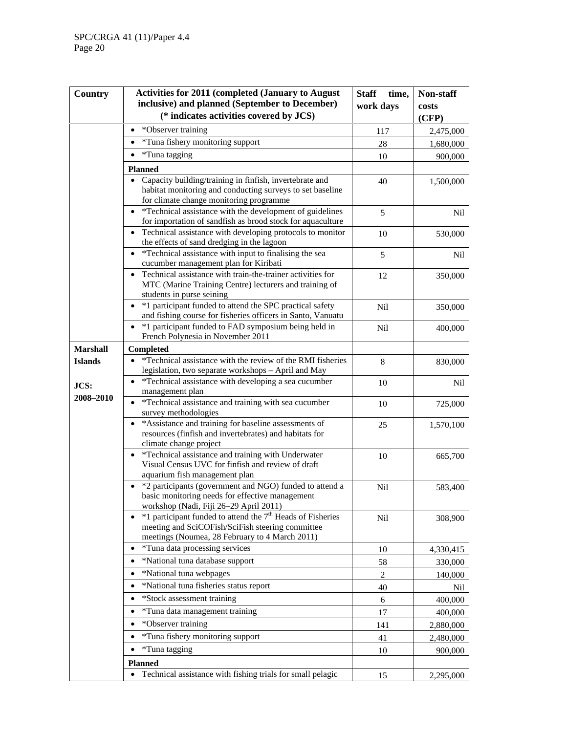| Country         | <b>Activities for 2011 (completed (January to August)</b>                                                                | <b>Staff</b><br>time, | Non-staff |
|-----------------|--------------------------------------------------------------------------------------------------------------------------|-----------------------|-----------|
|                 | inclusive) and planned (September to December)                                                                           | work days             | costs     |
|                 | (* indicates activities covered by JCS)                                                                                  |                       | (CFP)     |
|                 | *Observer training<br>$\bullet$                                                                                          | 117                   | 2,475,000 |
|                 | *Tuna fishery monitoring support<br>$\bullet$                                                                            | 28                    | 1,680,000 |
|                 | *Tuna tagging<br>$\bullet$                                                                                               | 10                    | 900,000   |
|                 | <b>Planned</b>                                                                                                           |                       |           |
|                 | Capacity building/training in finfish, invertebrate and                                                                  | 40                    | 1,500,000 |
|                 | habitat monitoring and conducting surveys to set baseline                                                                |                       |           |
|                 | for climate change monitoring programme                                                                                  |                       |           |
|                 | *Technical assistance with the development of guidelines<br>for importation of sandfish as brood stock for aquaculture   | 5                     | Nil       |
|                 | Technical assistance with developing protocols to monitor<br>$\bullet$                                                   | 10                    | 530,000   |
|                 | the effects of sand dredging in the lagoon                                                                               |                       |           |
|                 | *Technical assistance with input to finalising the sea<br>$\bullet$                                                      | 5                     | Nil       |
|                 | cucumber management plan for Kiribati                                                                                    |                       |           |
|                 | Technical assistance with train-the-trainer activities for<br>$\bullet$                                                  | 12                    | 350,000   |
|                 | MTC (Marine Training Centre) lecturers and training of<br>students in purse seining                                      |                       |           |
|                 | *1 participant funded to attend the SPC practical safety                                                                 | Nil                   |           |
|                 | and fishing course for fisheries officers in Santo, Vanuatu                                                              |                       | 350,000   |
|                 | *1 participant funded to FAD symposium being held in<br>$\bullet$                                                        | <b>Nil</b>            | 400,000   |
|                 | French Polynesia in November 2011                                                                                        |                       |           |
| <b>Marshall</b> | Completed                                                                                                                |                       |           |
| <b>Islands</b>  | *Technical assistance with the review of the RMI fisheries                                                               | 8                     | 830,000   |
|                 | legislation, two separate workshops - April and May<br>*Technical assistance with developing a sea cucumber<br>$\bullet$ |                       |           |
| JCS:            | management plan                                                                                                          | 10                    | Nil       |
| 2008-2010       | *Technical assistance and training with sea cucumber<br>$\bullet$                                                        | 10                    | 725,000   |
|                 | survey methodologies                                                                                                     |                       |           |
|                 | *Assistance and training for baseline assessments of<br>$\bullet$                                                        | 25                    | 1,570,100 |
|                 | resources (finfish and invertebrates) and habitats for                                                                   |                       |           |
|                 | climate change project<br>*Technical assistance and training with Underwater<br>$\bullet$                                |                       |           |
|                 | Visual Census UVC for finfish and review of draft                                                                        | 10                    | 665,700   |
|                 | aquarium fish management plan                                                                                            |                       |           |
|                 | *2 participants (government and NGO) funded to attend a                                                                  | Nil                   | 583,400   |
|                 | basic monitoring needs for effective management                                                                          |                       |           |
|                 | workshop (Nadi, Fiji 26-29 April 2011)<br>• $*1$ participant funded to attend the $7th$ Heads of Fisheries               |                       |           |
|                 | meeting and SciCOFish/SciFish steering committee                                                                         | Nil                   | 308,900   |
|                 | meetings (Noumea, 28 February to 4 March 2011)                                                                           |                       |           |
|                 | *Tuna data processing services<br>٠                                                                                      | 10                    | 4,330,415 |
|                 | *National tuna database support                                                                                          | 58                    | 330,000   |
|                 | *National tuna webpages<br>$\bullet$                                                                                     | $\overline{c}$        | 140,000   |
|                 | *National tuna fisheries status report<br>$\bullet$                                                                      | 40                    | Nil       |
|                 | *Stock assessment training<br>$\bullet$                                                                                  | 6                     | 400,000   |
|                 | *Tuna data management training<br>$\bullet$                                                                              | 17                    | 400,000   |
|                 | *Observer training<br>$\bullet$                                                                                          | 141                   | 2,880,000 |
|                 | *Tuna fishery monitoring support<br>$\bullet$                                                                            | 41                    | 2,480,000 |
|                 | *Tuna tagging<br>$\bullet$                                                                                               | 10                    |           |
|                 |                                                                                                                          |                       | 900,000   |
|                 | <b>Planned</b><br>Technical assistance with fishing trials for small pelagic                                             |                       |           |
|                 |                                                                                                                          | 15                    | 2,295,000 |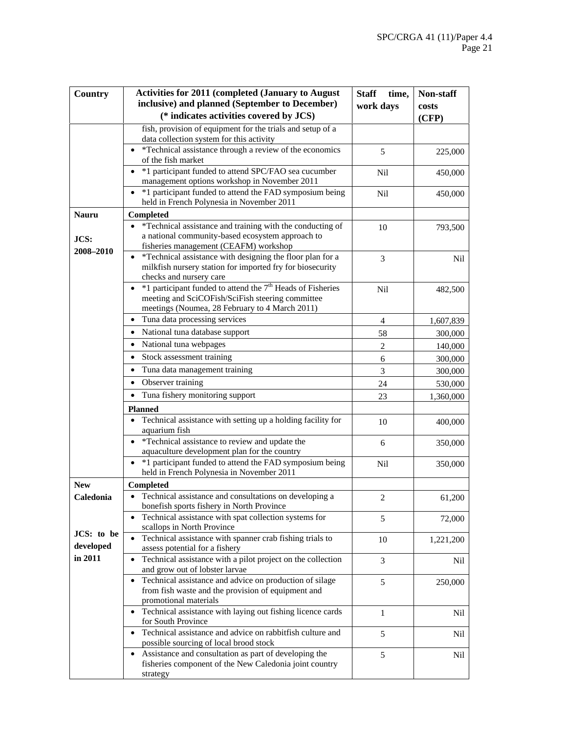| Country      | <b>Activities for 2011 (completed (January to August)</b>                                                | <b>Staff</b><br>time, | Non-staff  |
|--------------|----------------------------------------------------------------------------------------------------------|-----------------------|------------|
|              | inclusive) and planned (September to December)                                                           | work days             | costs      |
|              | (* indicates activities covered by JCS)                                                                  |                       | (CFP)      |
|              | fish, provision of equipment for the trials and setup of a                                               |                       |            |
|              | data collection system for this activity                                                                 |                       |            |
|              | *Technical assistance through a review of the economics                                                  | 5                     | 225,000    |
|              | of the fish market                                                                                       |                       |            |
|              | *1 participant funded to attend SPC/FAO sea cucumber<br>management options workshop in November 2011     | Nil                   | 450,000    |
|              | *1 participant funded to attend the FAD symposium being                                                  |                       |            |
|              | held in French Polynesia in November 2011                                                                | Nil                   | 450,000    |
| <b>Nauru</b> | <b>Completed</b>                                                                                         |                       |            |
|              | *Technical assistance and training with the conducting of                                                | 10                    | 793,500    |
| JCS:         | a national community-based ecosystem approach to                                                         |                       |            |
| 2008-2010    | fisheries management (CEAFM) workshop                                                                    |                       |            |
|              | *Technical assistance with designing the floor plan for a                                                | 3                     | <b>Nil</b> |
|              | milkfish nursery station for imported fry for biosecurity                                                |                       |            |
|              | checks and nursery care<br>• $*1$ participant funded to attend the $7th$ Heads of Fisheries              |                       |            |
|              | meeting and SciCOFish/SciFish steering committee                                                         | Nil                   | 482,500    |
|              | meetings (Noumea, 28 February to 4 March 2011)                                                           |                       |            |
|              | • Tuna data processing services                                                                          | $\overline{4}$        | 1,607,839  |
|              | National tuna database support                                                                           | 58                    | 300,000    |
|              | National tuna webpages<br>$\bullet$                                                                      | $\overline{2}$        | 140,000    |
|              | Stock assessment training<br>$\bullet$                                                                   | 6                     | 300,000    |
|              | Tuna data management training                                                                            | 3                     | 300,000    |
|              | Observer training                                                                                        | 24                    | 530,000    |
|              | Tuna fishery monitoring support<br>$\bullet$                                                             | 23                    |            |
|              |                                                                                                          |                       | 1,360,000  |
|              | <b>Planned</b><br>Technical assistance with setting up a holding facility for                            |                       |            |
|              | aquarium fish                                                                                            | 10                    | 400,000    |
|              | • *Technical assistance to review and update the                                                         | 6                     | 350,000    |
|              | aquaculture development plan for the country                                                             |                       |            |
|              | *1 participant funded to attend the FAD symposium being                                                  | Nil                   | 350,000    |
|              | held in French Polynesia in November 2011                                                                |                       |            |
| <b>New</b>   | Completed                                                                                                |                       |            |
| Caledonia    | Technical assistance and consultations on developing a<br>٠<br>bonefish sports fishery in North Province | $\overline{2}$        | 61,200     |
|              | Technical assistance with spat collection systems for                                                    | 5                     | 72,000     |
| JCS: to be   | scallops in North Province                                                                               |                       |            |
| developed    | Technical assistance with spanner crab fishing trials to<br>assess potential for a fishery               | 10                    | 1,221,200  |
| in 2011      | Technical assistance with a pilot project on the collection                                              |                       |            |
|              | and grow out of lobster larvae                                                                           | 3                     | Nil        |
|              | • Technical assistance and advice on production of silage                                                | 5                     | 250,000    |
|              | from fish waste and the provision of equipment and                                                       |                       |            |
|              | promotional materials                                                                                    |                       |            |
|              | • Technical assistance with laying out fishing licence cards                                             | $\mathbf{1}$          | Nil        |
|              | for South Province<br>Technical assistance and advice on rabbitfish culture and                          |                       |            |
|              | possible sourcing of local brood stock                                                                   | 5                     | Nil        |
|              | • Assistance and consultation as part of developing the                                                  | 5                     | Nil        |
|              | fisheries component of the New Caledonia joint country                                                   |                       |            |
|              | strategy                                                                                                 |                       |            |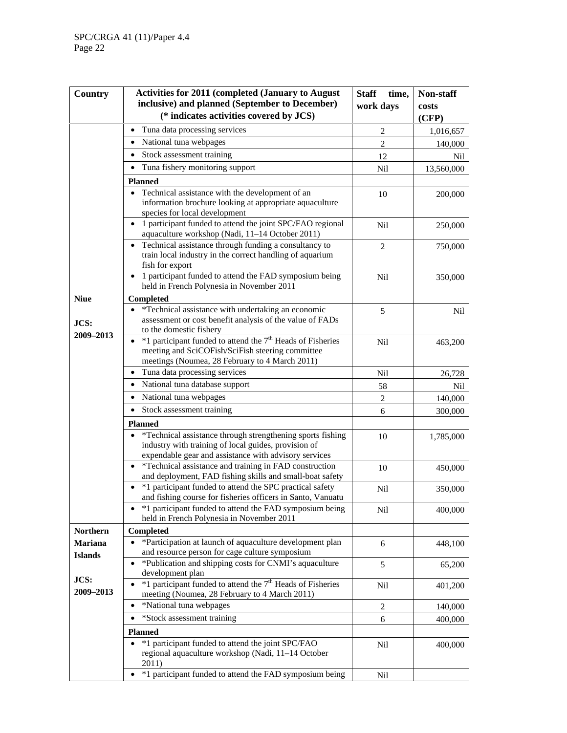| Country           | <b>Activities for 2011 (completed (January to August)</b>                                                                                                                         | <b>Staff</b><br>time, | Non-staff  |
|-------------------|-----------------------------------------------------------------------------------------------------------------------------------------------------------------------------------|-----------------------|------------|
|                   | inclusive) and planned (September to December)                                                                                                                                    | work days             | costs      |
|                   | (* indicates activities covered by JCS)                                                                                                                                           |                       | (CFP)      |
|                   | Tuna data processing services<br>$\bullet$                                                                                                                                        | $\overline{2}$        | 1,016,657  |
|                   | National tuna webpages<br>$\bullet$                                                                                                                                               | $\overline{2}$        | 140,000    |
|                   | Stock assessment training<br>$\bullet$                                                                                                                                            | 12                    | Nil        |
|                   | Tuna fishery monitoring support                                                                                                                                                   | Nil                   | 13,560,000 |
|                   | <b>Planned</b>                                                                                                                                                                    |                       |            |
|                   | Technical assistance with the development of an<br>$\bullet$<br>information brochure looking at appropriate aquaculture<br>species for local development                          | 10                    | 200,000    |
|                   | 1 participant funded to attend the joint SPC/FAO regional<br>$\bullet$<br>aquaculture workshop (Nadi, 11-14 October 2011)                                                         | Nil                   | 250,000    |
|                   | Technical assistance through funding a consultancy to<br>$\bullet$<br>train local industry in the correct handling of aquarium<br>fish for export                                 | $\overline{2}$        | 750,000    |
|                   | • 1 participant funded to attend the FAD symposium being<br>held in French Polynesia in November 2011                                                                             | Nil                   | 350,000    |
| <b>Niue</b>       | <b>Completed</b>                                                                                                                                                                  |                       |            |
| JCS:              | *Technical assistance with undertaking an economic<br>assessment or cost benefit analysis of the value of FADs<br>to the domestic fishery                                         | 5                     | <b>Nil</b> |
| 2009-2013         | $*1$ participant funded to attend the $7th$ Heads of Fisheries<br>$\bullet$<br>meeting and SciCOFish/SciFish steering committee<br>meetings (Noumea, 28 February to 4 March 2011) | Nil                   | 463,200    |
|                   | Tuna data processing services                                                                                                                                                     | Nil                   | 26,728     |
|                   | National tuna database support                                                                                                                                                    | 58                    | Nil        |
|                   | National tuna webpages<br>$\bullet$                                                                                                                                               | $\overline{2}$        | 140,000    |
|                   | Stock assessment training<br>$\bullet$                                                                                                                                            | 6                     | 300,000    |
|                   | <b>Planned</b>                                                                                                                                                                    |                       |            |
|                   | *Technical assistance through strengthening sports fishing<br>industry with training of local guides, provision of<br>expendable gear and assistance with advisory services       | 10                    | 1,785,000  |
|                   | *Technical assistance and training in FAD construction<br>and deployment, FAD fishing skills and small-boat safety                                                                | 10                    | 450,000    |
|                   | *1 participant funded to attend the SPC practical safety<br>and fishing course for fisheries officers in Santo, Vanuatu                                                           | Nil                   | 350,000    |
|                   | *1 participant funded to attend the FAD symposium being<br>held in French Polynesia in November 2011                                                                              | Nil                   | 400,000    |
| <b>Northern</b>   | Completed                                                                                                                                                                         |                       |            |
| <b>Mariana</b>    | *Participation at launch of aquaculture development plan<br>$\bullet$<br>and resource person for cage culture symposium                                                           | 6                     | 448,100    |
| <b>Islands</b>    | *Publication and shipping costs for CNMI's aquaculture<br>development plan                                                                                                        | 5                     | 65,200     |
| JCS:<br>2009-2013 | $*1$ participant funded to attend the $7th$ Heads of Fisheries<br>meeting (Noumea, 28 February to 4 March 2011)                                                                   | Nil                   | 401,200    |
|                   | *National tuna webpages<br>$\bullet$                                                                                                                                              | $\sqrt{2}$            | 140,000    |
|                   | *Stock assessment training<br>$\bullet$                                                                                                                                           | 6                     | 400,000    |
|                   | <b>Planned</b>                                                                                                                                                                    |                       |            |
|                   | *1 participant funded to attend the joint SPC/FAO<br>$\bullet$<br>regional aquaculture workshop (Nadi, 11-14 October<br>2011)                                                     | Nil                   | 400,000    |
|                   | *1 participant funded to attend the FAD symposium being<br>٠                                                                                                                      | Nil                   |            |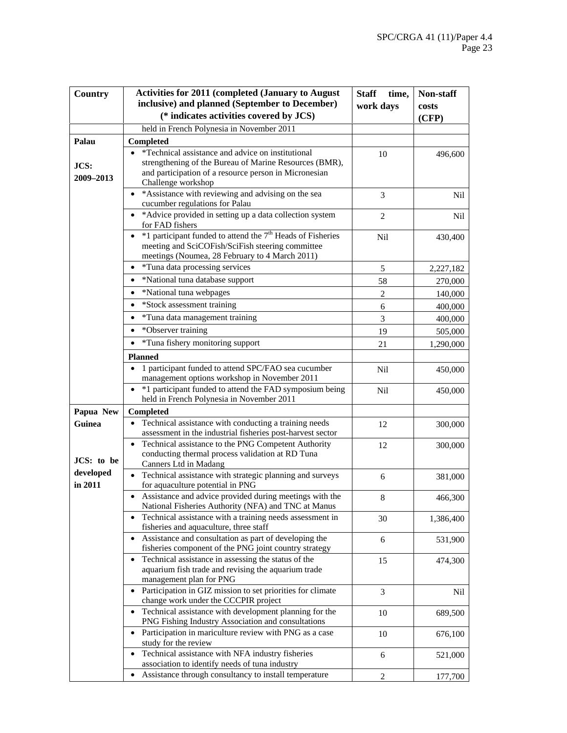| Country       | <b>Activities for 2011 (completed (January to August)</b>                                                                    | <b>Staff</b><br>time, | Non-staff |
|---------------|------------------------------------------------------------------------------------------------------------------------------|-----------------------|-----------|
|               | inclusive) and planned (September to December)                                                                               | work days             | costs     |
|               | (* indicates activities covered by JCS)                                                                                      |                       | (CFP)     |
|               | held in French Polynesia in November 2011                                                                                    |                       |           |
| Palau         | Completed                                                                                                                    |                       |           |
|               | *Technical assistance and advice on institutional                                                                            | 10                    | 496,600   |
| JCS:          | strengthening of the Bureau of Marine Resources (BMR),                                                                       |                       |           |
| 2009-2013     | and participation of a resource person in Micronesian<br>Challenge workshop                                                  |                       |           |
|               | • *Assistance with reviewing and advising on the sea                                                                         | 3                     | Nil       |
|               | cucumber regulations for Palau                                                                                               |                       |           |
|               | • *Advice provided in setting up a data collection system<br>for FAD fishers                                                 | $\overline{2}$        | Nil       |
|               | *1 participant funded to attend the 7 <sup>th</sup> Heads of Fisheries<br>$\bullet$                                          |                       |           |
|               | meeting and SciCOFish/SciFish steering committee                                                                             | Nil                   | 430,400   |
|               | meetings (Noumea, 28 February to 4 March 2011)                                                                               |                       |           |
|               | *Tuna data processing services<br>$\bullet$                                                                                  | 5                     | 2,227,182 |
|               | *National tuna database support<br>$\bullet$                                                                                 | 58                    | 270,000   |
|               | *National tuna webpages<br>٠                                                                                                 | $\overline{2}$        | 140,000   |
|               | *Stock assessment training<br>$\bullet$                                                                                      | 6                     | 400,000   |
|               | *Tuna data management training<br>٠                                                                                          | 3                     | 400,000   |
|               | *Observer training<br>٠                                                                                                      | 19                    | 505,000   |
|               | *Tuna fishery monitoring support                                                                                             | 21                    | 1,290,000 |
|               | <b>Planned</b>                                                                                                               |                       |           |
|               | 1 participant funded to attend SPC/FAO sea cucumber                                                                          | <b>Nil</b>            | 450,000   |
|               | management options workshop in November 2011                                                                                 |                       |           |
|               | *1 participant funded to attend the FAD symposium being<br>held in French Polynesia in November 2011                         | <b>Nil</b>            | 450,000   |
| Papua New     | <b>Completed</b>                                                                                                             |                       |           |
| <b>Guinea</b> | Technical assistance with conducting a training needs                                                                        | 12                    | 300,000   |
|               | assessment in the industrial fisheries post-harvest sector                                                                   |                       |           |
|               | Technical assistance to the PNG Competent Authority<br>$\bullet$<br>conducting thermal process validation at RD Tuna         | 12                    | 300,000   |
| JCS: to be    | Canners Ltd in Madang                                                                                                        |                       |           |
| developed     | Technical assistance with strategic planning and surveys                                                                     | 6                     | 381,000   |
| in 2011       | for aquaculture potential in PNG                                                                                             |                       |           |
|               | Assistance and advice provided during meetings with the                                                                      | 8                     | 466,300   |
|               | National Fisheries Authority (NFA) and TNC at Manus<br>Technical assistance with a training needs assessment in<br>$\bullet$ |                       |           |
|               | fisheries and aquaculture, three staff                                                                                       | 30                    | 1,386,400 |
|               | Assistance and consultation as part of developing the<br>$\bullet$                                                           | 6                     | 531,900   |
|               | fisheries component of the PNG joint country strategy                                                                        |                       |           |
|               | Technical assistance in assessing the status of the<br>aquarium fish trade and revising the aquarium trade                   | 15                    | 474,300   |
|               | management plan for PNG                                                                                                      |                       |           |
|               | Participation in GIZ mission to set priorities for climate                                                                   | 3                     | Nil       |
|               | change work under the CCCPIR project                                                                                         |                       |           |
|               | Technical assistance with development planning for the<br>٠<br>PNG Fishing Industry Association and consultations            | 10                    | 689,500   |
|               | Participation in mariculture review with PNG as a case<br>$\bullet$                                                          | 10                    |           |
|               | study for the review                                                                                                         |                       | 676,100   |
|               | Technical assistance with NFA industry fisheries                                                                             | 6                     | 521,000   |
|               | association to identify needs of tuna industry                                                                               |                       |           |
|               | Assistance through consultancy to install temperature                                                                        | 2                     | 177,700   |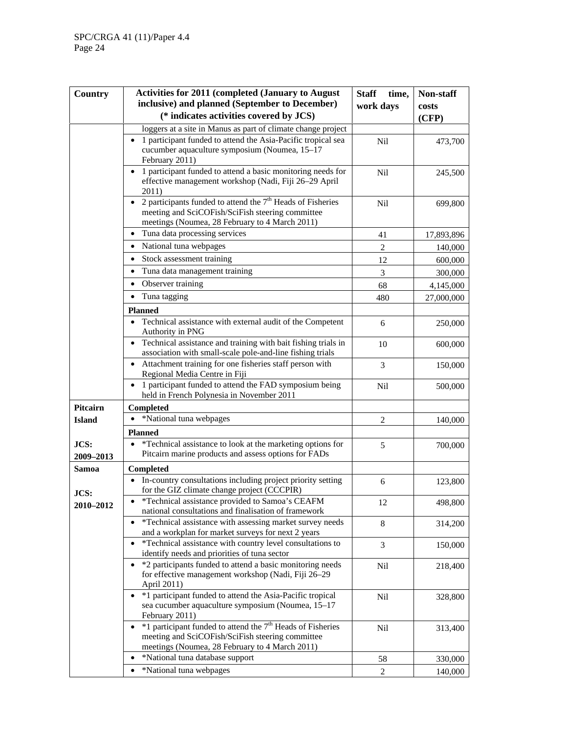| Country           | <b>Activities for 2011 (completed (January to August)</b>                                                                                                                       | <b>Staff</b><br>time, | Non-staff  |
|-------------------|---------------------------------------------------------------------------------------------------------------------------------------------------------------------------------|-----------------------|------------|
|                   | inclusive) and planned (September to December)                                                                                                                                  | work days             | costs      |
|                   | (* indicates activities covered by JCS)                                                                                                                                         |                       | (CFP)      |
|                   | loggers at a site in Manus as part of climate change project                                                                                                                    |                       |            |
|                   | 1 participant funded to attend the Asia-Pacific tropical sea<br>cucumber aquaculture symposium (Noumea, 15-17<br>February 2011)                                                 | <b>Nil</b>            | 473,700    |
|                   | 1 participant funded to attend a basic monitoring needs for<br>$\bullet$<br>effective management workshop (Nadi, Fiji 26-29 April<br>2011)                                      | <b>Nil</b>            | 245,500    |
|                   | 2 participants funded to attend the $7th$ Heads of Fisheries<br>$\bullet$<br>meeting and SciCOFish/SciFish steering committee<br>meetings (Noumea, 28 February to 4 March 2011) | <b>Nil</b>            | 699,800    |
|                   | Tuna data processing services                                                                                                                                                   | 41                    | 17,893,896 |
|                   | National tuna webpages<br>٠                                                                                                                                                     | $\overline{2}$        | 140,000    |
|                   | Stock assessment training<br>$\bullet$                                                                                                                                          | 12                    | 600,000    |
|                   | Tuna data management training<br>$\bullet$                                                                                                                                      | 3                     | 300,000    |
|                   | Observer training<br>$\bullet$                                                                                                                                                  | 68                    | 4,145,000  |
|                   | Tuna tagging                                                                                                                                                                    | 480                   | 27,000,000 |
|                   | <b>Planned</b>                                                                                                                                                                  |                       |            |
|                   | Technical assistance with external audit of the Competent<br>Authority in PNG                                                                                                   | 6                     | 250,000    |
|                   | • Technical assistance and training with bait fishing trials in<br>association with small-scale pole-and-line fishing trials                                                    | 10                    | 600,000    |
|                   | Attachment training for one fisheries staff person with<br>$\bullet$<br>Regional Media Centre in Fiji                                                                           | 3                     | 150,000    |
|                   | 1 participant funded to attend the FAD symposium being<br>$\bullet$<br>held in French Polynesia in November 2011                                                                | Nil                   | 500,000    |
| <b>Pitcairn</b>   | Completed                                                                                                                                                                       |                       |            |
| <b>Island</b>     | *National tuna webpages                                                                                                                                                         | $\overline{2}$        | 140,000    |
|                   | <b>Planned</b>                                                                                                                                                                  |                       |            |
| JCS:<br>2009-2013 | *Technical assistance to look at the marketing options for<br>Pitcairn marine products and assess options for FADs                                                              | 5                     | 700,000    |
| Samoa             | <b>Completed</b>                                                                                                                                                                |                       |            |
| JCS:              | In-country consultations including project priority setting<br>for the GIZ climate change project (CCCPIR)                                                                      | 6                     | 123,800    |
| 2010-2012         | *Technical assistance provided to Samoa's CEAFM<br>national consultations and finalisation of framework                                                                         | 12                    | 498,800    |
|                   | *Technical assistance with assessing market survey needs<br>and a workplan for market surveys for next 2 years                                                                  | 8                     | 314,200    |
|                   | *Technical assistance with country level consultations to<br>$\bullet$<br>identify needs and priorities of tuna sector                                                          | 3                     | 150,000    |
|                   | *2 participants funded to attend a basic monitoring needs<br>$\bullet$<br>for effective management workshop (Nadi, Fiji 26-29<br>April 2011)                                    | Nil                   | 218,400    |
|                   | *1 participant funded to attend the Asia-Pacific tropical<br>sea cucumber aquaculture symposium (Noumea, 15-17<br>February 2011)                                                | Nil                   | 328,800    |
|                   | $\bullet$ *1 participant funded to attend the $7th$ Heads of Fisheries<br>meeting and SciCOFish/SciFish steering committee<br>meetings (Noumea, 28 February to 4 March 2011)    | Nil                   | 313,400    |
|                   | *National tuna database support                                                                                                                                                 | 58                    | 330,000    |
|                   | *National tuna webpages<br>$\bullet$                                                                                                                                            | 2                     | 140,000    |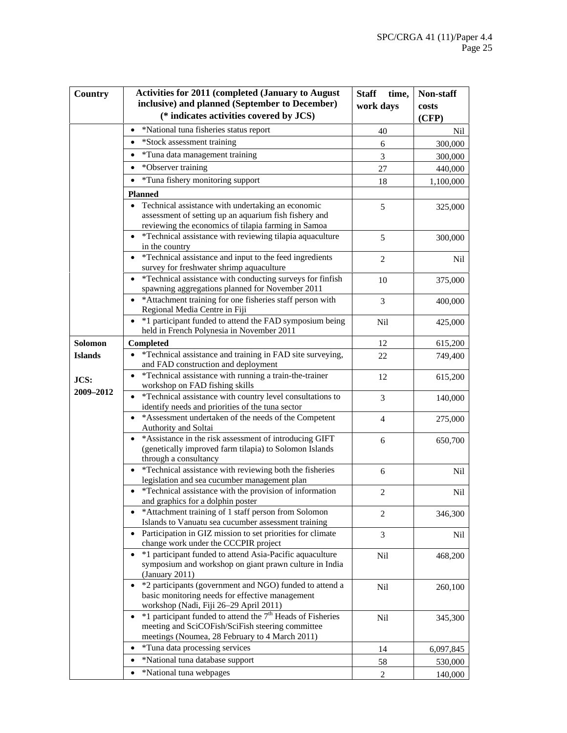| Country                             | <b>Activities for 2011 (completed (January to August)</b><br>inclusive) and planned (September to December)<br>(* indicates activities covered by JCS)               | <b>Staff</b><br>time,<br>work days | Non-staff<br>costs |
|-------------------------------------|----------------------------------------------------------------------------------------------------------------------------------------------------------------------|------------------------------------|--------------------|
|                                     |                                                                                                                                                                      |                                    | (CFP)              |
|                                     | *National tuna fisheries status report                                                                                                                               | 40                                 | Nil                |
|                                     | *Stock assessment training                                                                                                                                           | 6                                  | 300,000            |
|                                     | *Tuna data management training                                                                                                                                       | 3                                  | 300,000            |
|                                     | *Observer training<br>٠                                                                                                                                              | 27                                 | 440,000            |
|                                     | *Tuna fishery monitoring support                                                                                                                                     | 18                                 | 1,100,000          |
|                                     | <b>Planned</b>                                                                                                                                                       |                                    |                    |
|                                     | Technical assistance with undertaking an economic<br>assessment of setting up an aquarium fish fishery and<br>reviewing the economics of tilapia farming in Samoa    | 5                                  | 325,000            |
|                                     | *Technical assistance with reviewing tilapia aquaculture<br>in the country                                                                                           | 5                                  | 300,000            |
|                                     | *Technical assistance and input to the feed ingredients<br>survey for freshwater shrimp aquaculture                                                                  | $\overline{2}$                     | Nil                |
|                                     | *Technical assistance with conducting surveys for finfish<br>$\bullet$<br>spawning aggregations planned for November 2011                                            | 10                                 | 375,000            |
|                                     | • * Attachment training for one fisheries staff person with<br>Regional Media Centre in Fiji                                                                         | 3                                  | 400,000            |
|                                     | • *1 participant funded to attend the FAD symposium being<br>held in French Polynesia in November 2011                                                               | <b>Nil</b>                         | 425,000            |
| <b>Solomon</b>                      | <b>Completed</b>                                                                                                                                                     | 12                                 | 615,200            |
| <b>Islands</b><br>JCS:<br>2009-2012 | *Technical assistance and training in FAD site surveying,<br>and FAD construction and deployment                                                                     | 22                                 | 749,400            |
|                                     | *Technical assistance with running a train-the-trainer<br>$\bullet$<br>workshop on FAD fishing skills                                                                | 12                                 | 615,200            |
|                                     | *Technical assistance with country level consultations to<br>identify needs and priorities of the tuna sector                                                        | 3                                  | 140,000            |
|                                     | *Assessment undertaken of the needs of the Competent<br>Authority and Soltai                                                                                         | 4                                  | 275,000            |
|                                     | • * Assistance in the risk assessment of introducing GIFT<br>(genetically improved farm tilapia) to Solomon Islands<br>through a consultancy                         | 6                                  | 650,700            |
|                                     | *Technical assistance with reviewing both the fisheries<br>legislation and sea cucumber management plan                                                              | $\sqrt{6}$                         | Nil                |
|                                     | *Technical assistance with the provision of information<br>and graphics for a dolphin poster                                                                         | 2                                  | Nil                |
|                                     | *Attachment training of 1 staff person from Solomon<br>Islands to Vanuatu sea cucumber assessment training                                                           | $\overline{2}$                     | 346,300            |
|                                     | Participation in GIZ mission to set priorities for climate<br>change work under the CCCPIR project                                                                   | 3                                  | Nil                |
|                                     | *1 participant funded to attend Asia-Pacific aquaculture<br>symposium and workshop on giant prawn culture in India<br>(January 2011)                                 | Nil                                | 468,200            |
|                                     | *2 participants (government and NGO) funded to attend a<br>basic monitoring needs for effective management<br>workshop (Nadi, Fiji 26-29 April 2011)                 | Nil                                | 260,100            |
|                                     | $*1$ participant funded to attend the $7th$ Heads of Fisheries<br>meeting and SciCOFish/SciFish steering committee<br>meetings (Noumea, 28 February to 4 March 2011) | Nil                                | 345,300            |
|                                     | *Tuna data processing services                                                                                                                                       | 14                                 | 6,097,845          |
|                                     | *National tuna database support                                                                                                                                      | 58                                 | 530,000            |
|                                     | *National tuna webpages                                                                                                                                              | $\overline{c}$                     | 140,000            |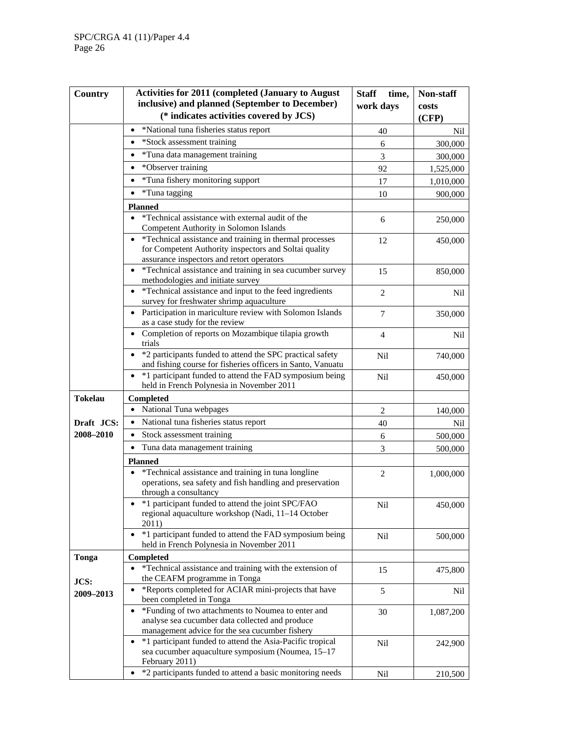| Country        | <b>Activities for 2011 (completed (January to August)</b>                                                                                                       | <b>Staff</b><br>time, | Non-staff |
|----------------|-----------------------------------------------------------------------------------------------------------------------------------------------------------------|-----------------------|-----------|
|                | inclusive) and planned (September to December)                                                                                                                  | work days             | costs     |
|                | (* indicates activities covered by JCS)                                                                                                                         |                       | (CFP)     |
|                | *National tuna fisheries status report                                                                                                                          | 40                    | Nil       |
|                | *Stock assessment training<br>$\bullet$                                                                                                                         | 6                     | 300,000   |
|                | *Tuna data management training<br>$\bullet$                                                                                                                     | 3                     | 300,000   |
|                | *Observer training<br>$\bullet$                                                                                                                                 | 92                    | 1,525,000 |
|                | *Tuna fishery monitoring support                                                                                                                                | 17                    | 1,010,000 |
|                | *Tuna tagging<br>$\bullet$                                                                                                                                      | 10                    | 900,000   |
|                | <b>Planned</b>                                                                                                                                                  |                       |           |
|                | *Technical assistance with external audit of the<br>$\bullet$                                                                                                   | 6                     | 250,000   |
|                | Competent Authority in Solomon Islands                                                                                                                          |                       |           |
|                | • *Technical assistance and training in thermal processes<br>for Competent Authority inspectors and Soltai quality<br>assurance inspectors and retort operators | 12                    | 450,000   |
|                | • *Technical assistance and training in sea cucumber survey<br>methodologies and initiate survey                                                                | 15                    | 850,000   |
|                | • *Technical assistance and input to the feed ingredients<br>survey for freshwater shrimp aquaculture                                                           | $\overline{2}$        | Nil       |
|                | • Participation in mariculture review with Solomon Islands<br>as a case study for the review                                                                    | $\tau$                | 350,000   |
|                | Completion of reports on Mozambique tilapia growth<br>trials                                                                                                    | $\overline{4}$        | Nil       |
|                | *2 participants funded to attend the SPC practical safety<br>$\bullet$<br>and fishing course for fisheries officers in Santo, Vanuatu                           | Nil                   | 740,000   |
|                | *1 participant funded to attend the FAD symposium being<br>$\bullet$<br>held in French Polynesia in November 2011                                               | Nil                   | 450,000   |
| <b>Tokelau</b> | Completed                                                                                                                                                       |                       |           |
|                | • National Tuna webpages                                                                                                                                        | $\overline{2}$        | 140,000   |
| Draft JCS:     | National tuna fisheries status report<br>$\bullet$                                                                                                              | 40                    | Nil       |
| 2008-2010      | Stock assessment training                                                                                                                                       | 6                     | 500,000   |
|                | Tuna data management training<br>$\bullet$                                                                                                                      | 3                     | 500,000   |
|                | <b>Planned</b>                                                                                                                                                  |                       |           |
|                | *Technical assistance and training in tuna longline<br>operations, sea safety and fish handling and preservation<br>through a consultancy                       | $\overline{2}$        | 1,000,000 |
|                | *1 participant funded to attend the joint SPC/FAO<br>regional aquaculture workshop (Nadi, 11-14 October<br>2011)                                                | Nil                   | 450,000   |
|                | *1 participant funded to attend the FAD symposium being<br>٠<br>held in French Polynesia in November 2011                                                       | Nil                   | 500,000   |
| Tonga          | <b>Completed</b>                                                                                                                                                |                       |           |
|                | *Technical assistance and training with the extension of<br>$\bullet$                                                                                           | 15                    | 475,800   |
| JCS:           | the CEAFM programme in Tonga                                                                                                                                    |                       |           |
| 2009-2013      | *Reports completed for ACIAR mini-projects that have<br>been completed in Tonga                                                                                 | 5                     | Nil       |
|                | *Funding of two attachments to Noumea to enter and<br>analyse sea cucumber data collected and produce<br>management advice for the sea cucumber fishery         | 30                    | 1,087,200 |
|                | *1 participant funded to attend the Asia-Pacific tropical<br>$\bullet$<br>sea cucumber aquaculture symposium (Noumea, 15-17<br>February 2011)                   | Nil                   | 242,900   |
|                | *2 participants funded to attend a basic monitoring needs                                                                                                       | Nil                   | 210,500   |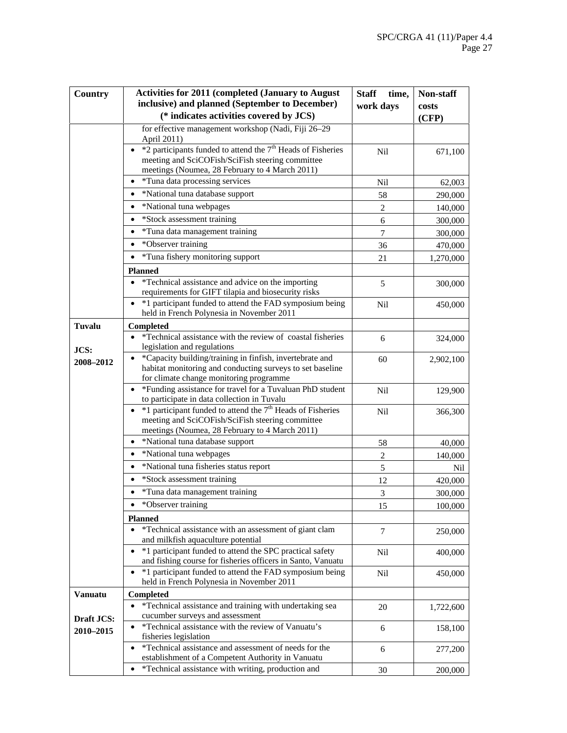| Country                 | <b>Activities for 2011 (completed (January to August)</b>                                                                                                                    | <b>Staff</b><br>time, | Non-staff |
|-------------------------|------------------------------------------------------------------------------------------------------------------------------------------------------------------------------|-----------------------|-----------|
|                         | inclusive) and planned (September to December)                                                                                                                               | work days             | costs     |
|                         | (* indicates activities covered by JCS)                                                                                                                                      |                       | (CFP)     |
|                         | for effective management workshop (Nadi, Fiji 26-29<br>April 2011)                                                                                                           |                       |           |
|                         | • $*2$ participants funded to attend the $7th$ Heads of Fisheries<br>meeting and SciCOFish/SciFish steering committee                                                        | <b>Nil</b>            | 671,100   |
|                         | meetings (Noumea, 28 February to 4 March 2011)                                                                                                                               |                       |           |
|                         | • *Tuna data processing services                                                                                                                                             | Nil                   | 62,003    |
|                         | *National tuna database support<br>$\bullet$                                                                                                                                 | 58                    | 290,000   |
|                         | *National tuna webpages                                                                                                                                                      | 2                     | 140,000   |
|                         | *Stock assessment training                                                                                                                                                   | $\sqrt{6}$            | 300,000   |
|                         | *Tuna data management training                                                                                                                                               | $\overline{7}$        | 300,000   |
|                         | *Observer training<br>$\bullet$                                                                                                                                              | 36                    | 470,000   |
|                         | *Tuna fishery monitoring support<br>$\bullet$                                                                                                                                | 21                    | 1,270,000 |
|                         | <b>Planned</b>                                                                                                                                                               |                       |           |
|                         | *Technical assistance and advice on the importing<br>requirements for GIFT tilapia and biosecurity risks                                                                     | 5                     | 300,000   |
|                         | *1 participant funded to attend the FAD symposium being<br>held in French Polynesia in November 2011                                                                         | <b>Nil</b>            | 450,000   |
| Tuvalu                  | Completed                                                                                                                                                                    |                       |           |
| JCS:                    | *Technical assistance with the review of coastal fisheries<br>legislation and regulations                                                                                    | 6                     | 324,000   |
| 2008-2012               | *Capacity building/training in finfish, invertebrate and<br>habitat monitoring and conducting surveys to set baseline<br>for climate change monitoring programme             | 60                    | 2,902,100 |
|                         | *Funding assistance for travel for a Tuvaluan PhD student<br>$\bullet$<br>to participate in data collection in Tuvalu                                                        | Nil                   | 129,900   |
|                         | $\bullet$ *1 participant funded to attend the $7th$ Heads of Fisheries<br>meeting and SciCOFish/SciFish steering committee<br>meetings (Noumea, 28 February to 4 March 2011) | Nil                   | 366,300   |
|                         | *National tuna database support<br>٠                                                                                                                                         | 58                    | 40,000    |
|                         | *National tuna webpages<br>$\bullet$                                                                                                                                         | $\sqrt{2}$            | 140,000   |
|                         | *National tuna fisheries status report<br>$\bullet$                                                                                                                          | 5                     | Nil       |
|                         | *Stock assessment training                                                                                                                                                   | 12                    | 420,000   |
|                         | *Tuna data management training                                                                                                                                               | $\mathfrak 3$         | 300,000   |
|                         | *Observer training<br>٠                                                                                                                                                      | 15                    | 100,000   |
|                         | <b>Planned</b>                                                                                                                                                               |                       |           |
|                         | *Technical assistance with an assessment of giant clam<br>and milkfish aquaculture potential                                                                                 | $\tau$                | 250,000   |
|                         | *1 participant funded to attend the SPC practical safety<br>and fishing course for fisheries officers in Santo, Vanuatu                                                      | Nil                   | 400,000   |
|                         | *1 participant funded to attend the FAD symposium being<br>$\bullet$<br>held in French Polynesia in November 2011                                                            | Nil                   | 450,000   |
| <b>Vanuatu</b>          | <b>Completed</b>                                                                                                                                                             |                       |           |
|                         | *Technical assistance and training with undertaking sea<br>$\bullet$                                                                                                         | 20                    | 1,722,600 |
| Draft JCS:<br>2010-2015 | cucumber surveys and assessment<br>*Technical assistance with the review of Vanuatu's<br>fisheries legislation                                                               | 6                     | 158,100   |
|                         | *Technical assistance and assessment of needs for the<br>establishment of a Competent Authority in Vanuatu                                                                   | 6                     | 277,200   |
|                         | *Technical assistance with writing, production and                                                                                                                           | 30                    | 200,000   |